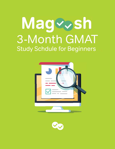# Mageosh 3-Month GMAT **Study Schdule for Beginners**



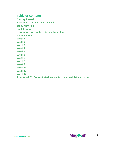# **Table of Contents**

**[Getting](#page-2-0) Started How to use this plan over 12 [weeks](#page-2-0) Study [Materials](#page-3-0) Book [Reviews](#page-5-0) How to use [practice](#page-5-0) tests in this study plan [Abbreviations](#page-6-0) [Week](#page-6-0) 1 [Week](#page-11-0) 2 [Week](#page-14-0) 3 [Week](#page-17-0) 4 [Week](#page-21-0) 5 [Week](#page-25-0) 6 [Week](#page-28-0) 7 [Week](#page-31-0) 8 [Week](#page-35-0) 9 [Week](#page-39-0) 10**

**[Week](#page-42-0) 11**

**[Week](#page-46-0) 12**

# **After Week 12: [Concentrated](#page-49-0) review, test day checklist, and more**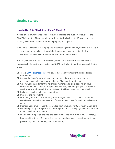# <span id="page-2-0"></span>**Getting Started**

## **How to Use This GMAT Study Plan (3 Months)**

Notice, this is a twelve-week plan—but you'll use it to find out how to study for the GMAT in 3 months. Three calendar months are typically closer to 13 weeks, so if you actually have three calendar months to prepare, that's great.

If you have a wedding or a camping trip or something in the middle, you could just skip a few days, and do them later. Alternately, it would leave you more time for the concentrated review I recommend at the end of the twelve weeks.

You can just dive into this plan! However, you'll find it more effective if you use it methodically. To get the most out of the GMAT study plan (3 months), approach it with a plan:

- $\Box$  Take a GMAT [diagnostic](https://magoosh.com/gmat/practice-tests/gmat-diagnostic-test/) test first to get a sense of your current skills and areas for improvement.
- $\Box$  Review the GMAT diagnostic test, looking particularly at the instructions and directions to get a better sense of what you'll encounter on test day.
- $\Box$  Go over your calendar for the next three months and plan exactly which days correspond to which days in the plan. For example, if you're going on vacation next week, that won't be Week 2 for you—Week 2 will start when you come back
- $\Box$  Make sure you have all necessary materials.
- $\Box$  Dive into the study plan!
- $\Box$  Maintain your motivation. Writing down why you want a particular score on the GMAT—and reviewing your reasons often—can be a powerful reminder to keep you going!
- $\Box$  Maintain your physical health. Eat well and get physical activity as much as you can!
- $\Box$  Get enough sleep during this three month period. REM sleep plays an important role in encoding long term memory!
- $\Box$  In an eight hour period of sleep, the last hour has the most REM. If you are getting 7 hours/night instead of 8 hours/night, you are depriving your brain of one of its most powerful systems for learning and remembering

2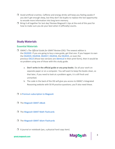- <span id="page-3-0"></span> $\Box$  Avoid artificial crutches. Caffeine and energy drinks will keep you feeling awake if you don't get enough sleep, but they don't do bupkis to replace the lost opportunity to encode more information into long term memory.
- $\Box$  Bring it all together for test day! Review Magoosh's tips at the end of this post for how to make sure you do your best when it (officially) counts.

# **Study Materials**

# **Essential Materials**

- GMAC's *The Official Guide for GMAT Review* (OG): The newest edition is the [OG2020.](https://www.mba.com/exam-prep/gmat-official-guide-2020-ebook-online) If you are going to buy a new guide, get that one. If you happen to own the [OG2019,](https://www.amazon.com/GMAT-Official-Guide-2019-Online/dp/1119507677/ref=dp_ob_title_bk) [OG2018,](https://www.amazon.com/GMAT-Official-Guide-2018-Online/dp/1119387477/ref=sr_1_2?s=books&ie=UTF8&qid=1504045384&sr=1-2&keywords=gmat+official+guide+2018) [OG2017,](https://www.amazon.com/Official-Review-Online-Question-Exclusive/dp/1119347629/ref=sr_1_2?s=books&ie=UTF8&qid=1487159897&sr=1-2&keywords=gmat+official+guide+2017) [OG2016,](https://www.amazon.com/Official-Review-Online-Question-Exclusive/dp/1119042488/ref=sr_1_4?s=books&ie=UTF8&qid=1433889808&sr=1-4&keywords=gmat+official+guide) the [OG2015,](http://www.amazon.com/Official-Review-Online-Question-Exclusive/dp/1118914090/ref=pd_sim_14_4?ie=UTF8&refRID=1YC9MTJ0S1ZCNVDDZ5Y3) or even the previous [OG13](http://www.amazon.com/Official-Guide-GMAT-Review/dp/1118109791/ref=sr_1_1?s=books&ie=UTF8&qid=1383596845&sr=1-1&keywords=gmat+official+guide+13th+edition) (those two versions are [identical](https://magoosh.com/gmat/books/gmac-official-guide-for-gmat-review-book-review/) in their print form), then it would be no problem using one of those with this study guide.
	- a. **Don't write in the official guide or any prep books**. Do all your work on separate paper or on a computer. You will want to keep the books clean, so that later, if you need to look at a problem again, it is still fresh and unmarked.
	- b. The code in the back of the OG will give you access to GMAC's Integrated Reasoning website with 50 IR practice questions; you'll also need these.
- $\Box$  A Premium [subscription](https://gmat.magoosh.com/) to Magoosh
- □ The [Magoosh](https://magoosh.com/gmat/about/complete-guide-to-gmat-ebook/) GMAT eBook
- $\Box$  The Magoosh GMAT Math [Flashcards](https://gmat.magoosh.com/flashcards/math/)
- $\Box$  The Magoosh GMAT Idiom [Flashcards](https://gmat.magoosh.com/flashcards/idioms/)
- $\Box$  A journal or notebook (yes, a physical hard copy item)

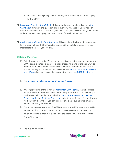- a. Pro tip: At the beginning of your journal, write down why you are studying for the GMAT.
- [Magoosh's](https://magoosh.com/gmat/about/gmat-101/) Complete GMAT Guide: This comprehensive web-based guide to [the](https://magoosh.com/gmat/about/gmat-101/) [GMAT](https://magoosh.com/gmat/about/gmat-101/) exam gives you the quick but useful overview you need to understand this test. You'll see how the GMAT is designed and scored, what skills it tests, how to find and use the best GMAT prep, and how to study for each test section.
- $\Box$  A guide to GMAT Practice Test [Resources:](https://magoosh.com/gmat/practice-tests/free-gmat-practice-test-resources/) This page includes instructions on where to find good full-length GMAT practice tests, and how to take practice tests and incorporate them into your studies.

## **Optional Materials**

- $\Box$  Outside reading material: We recommend outside reading, over and above any GMAT-specific materials, because a habit of reading is one of the best ways to improve your GMAT verbal score across the board. For more on how to use outside reading to prepare you for the GMAT, see: How to [Improve](https://magoosh.com/gmat/verbal/how-to-improve-your-gmat-verbal-score/) your GMAT [Verbal](https://magoosh.com/gmat/verbal/how-to-improve-your-gmat-verbal-score/) Score. For more suggestions on what to read, see: GMAT [Reading](https://magoosh.com/gmat/verbal/reading-comprehension/gmat-reading-list/) List.
- $\Box$  The [Magoosh](https://gmat.magoosh.com/prep-app/) mobile app for your iPhone or Android
- □ Any single volume of the 9-volume [Manhattan](https://www.amazon.com/Manhattan-Prep/e/B0053HGVRQ/) GMAT series. These books are about the best material available in hard-copy print form. Pick the volume you think would help you the most, whether [Math,](https://magoosh.com/gmat/books/manhattan-gmat-math-guides-1-5-book-review/) Critical [Reasoning,](https://magoosh.com/st/magoosh.com/gmat/books/gmat-book-review-manhattan-gmat-critical-reasoning-guide/) [Reading](https://magoosh.com/gmat/books/mgmat-reading-comprehension-guide-7-book-review/) [Comprehension,](https://magoosh.com/gmat/books/mgmat-reading-comprehension-guide-7-book-review/) or Sentence [Correction,](https://magoosh.com/gmat/books/manhattan-gmat-sentence-correction-guide-8-book-review/) and either use it as a reference book or work through it anywhere you can fit it into this plan—during extra time on various Day Sixes, for example.
- $\Box$  The primary reason you are getting this volume is to get the code in the inside back cover: that code will give you access to one MGMAT online GMAT CAT, which you will take later in this plan. (See the note below on "Practice Tests During This Plan.")
- $\Box$  The two online forums: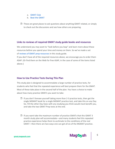- <span id="page-5-0"></span>a. [GMAT](http://gmatclub.com/) Club
- b. Beat the [GMAT](http://beatthegmat.com/)
- $\Box$  These are great places to ask questions about anything GMAT related, or simply to check out the discussions and see how others are preparing.

## **Links to reviews of required GMAT study guide books and resources**

We understand you may want to "look before you leap" and learn more about these resources before you spend your time and money on them. So we've made a set of reviews of GMAT prep [resources](https://magoosh.com/gmat/books/best-gmat-books-resources/) in this study guide.

If you don't have all of the required resources above, we encourage you to order them ASAP. (Or find them on the Web for free ASAP, in the case of some of the items listed above.)

#### **How to Use Practice Tests During This Plan**

This study plan is designed to accommodate a large number of practice tests, for students who feel that the repeated experience will best prepare them for the GMAT. Most of these take place in the second half of the plan. You have a choice to make about how many practice GMATs you want to take:

- $\Box$  If you don't foresee yourself taking more than 2-3 practice tests, then get the single MGMAT book for a single MGMAT practice test, and take this on any Day Six. Fill the other Day Sixes with any studying you think would most benefit you, and take the two GMAT Prep tests at the end.
- $\Box$  If you want take the maximum number of practice GMATs that this GMAT 3 month study plan will accommodate—and many students feel this repeated practice experience helps them to acclimate to the conditions of the real GMAT—then there are two ways one can get all six of the MGMAT practice.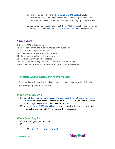- <span id="page-6-0"></span>a. One would be to buy the whole set of [MGMAT](https://www.manhattanprep.com/gmat/store/self-study/gmat-self-study-toolkit/) books: I would recommend this if you imagine that you will have a great deal of extra time and would like to devote that time to more high quality resources.
- b. A quicker and cheaper way to get the six MGMAT practice tests would be to pay \$50 to buy the 6 [MGMAT](https://www.manhattanprep.com/gmat/store/online-resources/gmat-online-practice-tests/) Practice GMAT CATs by themselves.

## **Abbreviations**

- **OG** = the GMAC Official Guide
- **PS** = Problem Solving, the multiple-choice math questions
- **DS** = Data Sufficiency math questions
- **RC** = Reading Comprehension verbal question
- **SC** = Sentence Correction verbal question
- **CR** = Critical Reasoning verbal question
- **IR** = Integrated Reasoning question, a separate section unto itself
- **AWA** = the Analytical Writing Assessment, the essay-writing section

# **3 Month GMAT Study Plan: Week One**

\* Tasks marked with an asterisk indicate that this resource is only available to Magoosh students—sign up here for a free trial!

# **Week One, Day One**

- Go to [https://www.mba.com/exams/gmat/about-the-gmat-exam/gmat-exam](https://www.mba.com/exams/gmat/about-the-gmat-exam/gmat-exam-structure)[structure,](https://www.mba.com/exams/gmat/about-the-gmat-exam/gmat-exam-structure) and read about the structure of the GMAT. Click on each subsection on that page to read about the individual sections.
- $\Box$  In the Magoosh GMAT Math [Flashcards,](https://gmat.magoosh.com/flashcards/math/) start learning the cards in the first deck, the Algebra deck. Spend 10-15 minutes with these cards.

6

Mag⊗<sub>S</sub>h

# **Week One, Day Two**

- □ Watch Magoosh lesson videos:
- $\Box$
- $\Box$  Intro [Overview](https://gmat.magoosh.com/lessons/1055-introduction-to-the-gmat-test-day/) of the GMAT

gmat.magoosh.com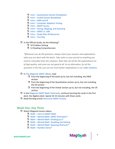- $\Box$  Intro [Quantitative](https://gmat.magoosh.com/lessons/1056-introduction-to-the-gmat-the-quantitative-section/) Section Breakdown
- $\Box$  Intro Verbal Section [Breakdown](https://gmat.magoosh.com/lessons/1057-introduction-to-the-gmat-the-verbal-section/)
- $\Box$  Intro [AWA](https://gmat.magoosh.com/lessons/1058-awa-and-ir/) and IR
- $\Box$  Intro [Computer](https://gmat.magoosh.com/lessons/1059-computer-adaptive-testing/) Adaptive Testing
- $\Box$  Intro GMAT [Scores](https://gmat.magoosh.com/lessons/1060-gmat-scores/)
- $\Box$  Intro Pacing, [Skipping,](https://gmat.magoosh.com/lessons/1061-pacing-skipping-and-guessing/) and Guessing
- $\Box$  Intro [GMAT](https://gmat.magoosh.com/lessons/1062-gmat-vs-gre/) vs. GRE
- $\Box$  Intro Study Plans & [Resources](https://gmat.magoosh.com/lessons/1063-study-plans-resources/)
- $\Box$  [Intro](https://gmat.magoosh.com/lessons/1064-test-day/) Test Day
- $\Box$  In the Official Guide, do the following\*:
	- $\Box$  16 Problem Solving
	- $\Box$  12 Reading Comprehension

*\*Whenever you do OG questions, always check your answers and explanations when you are done with the batch. Take notes in your journal on anything you need to remember from the solutions. Note that not all the OG explanations are of high quality, and some are not good at all. As an alternative, for all the questions in the OG, you can see much better explanations in our video [solutions.](https://gmat.magoosh.com/forum/books/13-official-guide-for-the-gmat-13th-ed)*

#### □ In The [Magoosh](https://magoosh.com/gmat/about/complete-guide-to-gmat-ebook/) GMAT eBook, read

- $\Box$  from the beginning of the book up to, but not including, the AWA section
- $\Box$  from the beginning of the Quantitative section up to, but not including, the DS section
- $\Box$  from the beginning of the Verbal section up to, but not including, the CR section
- $\Box$  In the Magoosh GMAT Math [Flashcards,](https://gmat.magoosh.com/flashcards/math/) continue learning the cards in the first deck, the Algebra deck. Spend 10-15 minutes with these cards.
- $\Box$  Read the blog article [Overcome](https://magoosh.com/gmat/about/tips/overcome-gmat-exam-anxiety-breathe/) GMAT Anxiety.

# **Week One, Day Three**

- □ Watch Magoosh lesson videos:
	- $\Box$  Math Intro to [GMAT](https://gmat.magoosh.com/lessons/307-intro-to-gmat-math/?utm_source=gmatblog&utm_medium=blog&utm_campaign=gmatlessons&utm_term=inline&utm_content=3-month-gmat-study-schedule-for-beginners) Math
	- $\Box$  Math Mental Math: GMAT [Estimation\\*](https://gmat.magoosh.com/lessons/1386-mental-math-gmat-estimation/)
	- $\Box$  Math Mental Math: [Dividing](https://gmat.magoosh.com/lessons/309-mental-math-dividing-by-5/) by 5\*
	- $\Box$  Math Mental Math: [Doubling](https://gmat.magoosh.com/lessons/311-mental-math-doubling-and-halving/) and Halving
	- $\Box$  Math Mental Math: Squaring [Shortcuts\\*](https://gmat.magoosh.com/lessons/357-mental-math-squaring-shortcuts/)
	- $\Box$  Math [Number](https://gmat.magoosh.com/lessons/1387-number-sense/) Sense\*

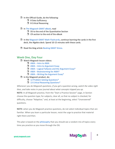- $\Box$  In the Official Guide, do the following:
	- **D** 8 Data Sufficiency
	- $\Box$  8 Critical Reasoning
- □ In The [Magoosh](https://magoosh.com/gmat/about/complete-guide-to-gmat-ebook/) GMAT eBook, read
	- $\Box$  DS to the end of the Quantitative Section
	- $\Box$  CR section to the end of the eBook
- $\Box$  In the Magoosh GMAT Math [Flashcards,](https://gmat.magoosh.com/flashcards/math/) continue learning the cards in the first deck, the Algebra deck. Spend 10-15 minutes with these cards.
- $\Box$  Read the blog article [Beating](https://magoosh.com/gmat/about/tips/beating-gmat-stress/) GMAT Stress.

# **Week One, Day Four**

- □ Watch Magoosh lesson videos:
	- $\Box$  [AWA](https://gmat.magoosh.com/lessons/591-intro-to-awa/) Intro to AWA
	- $\Box$  AWA Intro to [Argument](https://gmat.magoosh.com/lessons/595-intro-to-argument-essay/) Essay
	- $\Box$  AWA Logical Fallacies and the [Argument](https://gmat.magoosh.com/lessons/596-logical-fallacies-and-the-argument-essay/) Essay\*
	- $\Box$  AWA [Brainstorming](https://gmat.magoosh.com/lessons/598-brainstorming-for-awa/) for AWA\*
	- $\Box$  AWA Writing the [Argument](https://gmat.magoosh.com/lessons/597-writing-the-argument-essay/) Essay\*
- $\Box$  In the Magoosh product, do:
	- 12 Problem Solving [Questions\\*](https://gmat.magoosh.com/practices/start/)
	- 13 Critical Reasoning [Questions\\*](https://gmat.magoosh.com/practices/start/)

*Whenever you do Magoosh questions, if you get a question wrong, watch the video right then, and take notes in your journal about what concepts tripped you up.*

**NOTE:** In all Magoosh practice, from the "Start a Practice Session" page, in Section choose the question type; for subjects, clear all, so that no subject is checked; for difficulty, choose "Adaptive;" and, at least at the beginning, select "Unanswered" questions.

**NOTE:** when you do Magoosh practice questions, do not select individual topics that are familiar. When you learn a particular lesson, resist the urge to practice that material right there and then.

This plan is based on the [philosophy](https://magoosh.com/gmat/about/tips/gmat-study-approaches-systematic-vs-random/) that you should see a random mix of topics every time you practice as you move through the OG.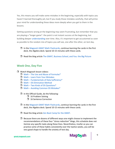Yes, this means you will make some mistakes in the beginning, especially with topics you haven't learned thoroughly yet, but if you study those mistakes carefully, that will prime your mind for understanding these ideas more deeply when you get to them in the lessons.

Getting questions wrong at the beginning may seem frustrating, but remember that you are playing a "longer game": the point is not instant success at the beginning, but building deeper [understanding](https://magoosh.com/gmat/about/tips/understanding-the-gmat-practice-vs-exam-performance/) over time. Also, it's important to get accustomed as soon as possible to the random mix of topics you will see, one after the other, on test day.

- $\Box$  In the Magoosh GMAT Math [Flashcards,](https://gmat.magoosh.com/flashcards/math/) continue learning the cards in the first deck, the Algebra deck. Spend 10-15 minutes with these cards.
- $\Box$  Read the blog article The GMAT, [Business](https://magoosh.com/gmat/about/tips/the-gmat-business-school-and-you-the-big-picture/) School, and You: the Big Picture

# **Week One, Day Five**

- **U** Watch Magoosh lesson videos:
	- $\Box$  Math The Use and Abuse of [Formulas\\*](https://gmat.magoosh.com/lessons/1388-the-use-and-abuse-of-formulas/)
	- Math Learn from Your [Mistakes](https://gmat.magoosh.com/lessons/1389-learn-from-your-mistakes/)
	- $\Box$  Math [Fundamentals](https://gmat.magoosh.com/lessons/361-fundamentals-of-data-sufficiency/) of Data Sufficiency\*
	- $\Box$  Math DS [Elimination](https://gmat.magoosh.com/lessons/1045-ds-elimination-method/) Method
	- $\Box$  Math Two Kinds of DS [Questions\\*](https://gmat.magoosh.com/lessons/1358-two-kinds-of-ds-questions/)
	- $\Box$  Math Avoiding Common DS [Mistakes\\*](https://gmat.magoosh.com/lessons/363-avoiding-common-ds-mistakes/)
	- $\Box$  In the Official Guide, do the following:
		- $\Box$  16 Problem Solving
		- □ 16 Sentence Correction
	- $\Box$  In the Magoosh GMAT Math [Flashcards,](https://gmat.magoosh.com/flashcards/math/) continue learning the cards in the first deck, the Algebra deck. Spend 10-15 minutes with these cards.
	- $\Box$  Read the blog article Zen Boot Camp for the [GMAT.](https://magoosh.com/gmat/about/tips/zen-boot-camp-for-the-gmat/)
	- $\Box$  Because there are dozens of different ways one might choose to implement the recommendations of these four "stress reduction" blogs, this schedule does not itemize any specific tasks along these lines. Nevertheless, insofar as you can practice some of these habits consistently over the twelve weeks, you will be very good shape to handle the anxiety of test day.

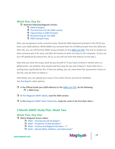# **Week One, Day Six**

- $\Box$  Read the following Magoosh articles:
	- **D** AWA [Strategies](https://magoosh.com/gmat/awa/gmat-awa-strategies/#_ga=2.191510830.585574815.1579526590-558943273.1507376370)
	- $\Box$  The [Directions](https://magoosh.com/gmat/awa/the-directions-for-the-gmat-awa/#_ga=2.147625395.585574815.1579526590-558943273.1507376370) for the AWA section
	- $\Box$  Typical Flaws in AWA [Prompts](https://magoosh.com/gmat/awa/typical-flaws-in-awa-prompts/#_ga=2.147625395.585574815.1579526590-558943273.1507376370)
	- $\Box$  [Brainstorming](https://magoosh.com/gmat/awa/brainstorming-for-gmat-awa/#_ga=2.191510830.585574815.1579526590-558943273.1507376370) for the AWA
	- **NWA [Example](https://magoosh.com/gmat/awa/gmat-awa-example-essay/#_ga=2.191510830.585574815.1579526590-558943273.1507376370) Essay**

Now, you are going to write a practice essay. Read the AWA Argument prompts in the OG (if you have a pre-2020 edition). While GMAC has removed their list of AWA prompts from the 2020 and 2021 OG, you can still find the GMAT essay prompts on this [MBA.com PDF.](https://www.mba.com/-/media/files/mba2/the-gmat-exam/gmat-exam-format-and-timing/analytical-writing-assessment/analysisofanargument_gmat-exam.pdf) Pick one at random (or have someone pick it for you), and take 30 minutes to write an essay on the computer. (If you can turn off spellcheck & autocorrect, do so, as you will not have that feature on test day.)

Now that you have this essay, what do you do with it? If you have a friend or mentor who is a gifted writer, see whether they would read the essay for you and critique it. Some folks hire a writing tutor specifically for this. If they are willing, you can show them the assessment criteria in the OG, and ask them to follow it.

Alternately, you can upload your essay in the online forums and ask for feedback. See this [blog](https://magoosh.com/gmat/awa/how-to-get-your-gmat-essay-graded/) for other options.

- $\Box$  In the Official Guide (pre-2020 editions) or thi[s MBA.com PDF,](https://www.mba.com/-/media/files/mba2/the-gmat-exam/gmat-exam-format-and-timing/analytical-writing-assessment/analysisofanargument_gmat-exam.pdf) do the following:  $\Box$  1 AWA Essay
- $\Box$  In The [Magoosh](https://magoosh.com/gmat/about/complete-guide-to-gmat-ebook/) GMAT eBook, read the AWA section.
- $\Box$  In the Magoosh GMAT Idiom [Flashcards,](https://gmat.magoosh.com/flashcards/idioms/) study the cards in the first deck, Basic I.

# **3 Month GMAT Study Plan: Week Two**

# **Week Two, Day One**

- **U** Watch Magoosh lesson videos:
	- $\Box$  Math [Introductory](https://gmat.magoosh.com/lessons/364-introductory-ds-strategies/) DS Strategies\*
	- $\Box$  Math Properties of Real [Numbers\\*](https://gmat.magoosh.com/lessons/1200-properties-of-real-numbers/)
	- $\Box$  Math Positive and Negative [Numbers](https://gmat.magoosh.com/lessons/1201-positive-and-negative-numbers-i/) I\*
	- $\Box$  Math Mental Math, Addition, and [Subtraction\\*](https://gmat.magoosh.com/lessons/1202-mental-math-addition-and-subtraction/)



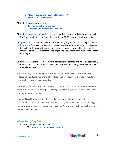- $\Box$  Math Positive and Negative [Numbers](https://gmat.magoosh.com/lessons/1203-positive-and-negative-numbers-ii/) II\*
- $\Box$  Math Order of [Operations\\*](https://gmat.magoosh.com/lessons/1204-order-of-operations/)
- <span id="page-11-0"></span> $\Box$  In the Magoosh product, do:
	- 12 Problem Solving [Questions\\*](https://gmat.magoosh.com/practices/start/)
	- □ 8 Reading [Comprehension](https://gmat.magoosh.com/practices/start/) Questions<sup>\*</sup>
- $\Box$  In the Magoosh GMAT Math [Flashcards,](https://gmat.magoosh.com/flashcards/math/) start learning the cards in the second deck, the Fractions, Ratios, and Percents deck. Spend 10-15 minutes with these cards.
- $\Box$  Spend at least 30 minutes on the outside reading of your choice; once again, see [this](https://magoosh.com/gmat/verbal/reading-comprehension/gmat-reading-list/) blog [article](https://magoosh.com/gmat/verbal/reading-comprehension/gmat-reading-list/) for suggestions of what to read. Reading is the very best way to develop instincts for the way writers use language in the business world. Pay attention to sentence structures. Pay attention to arguments. Pay attention to main ideas & roles of paragraphs.
- **Mental Math Practice**: This is more a general reminder than a thing to do specifically on this day. As is mentioned in the Intro to Math lesson videos, you should practice mental math every day.

Practice adding & subtracting two (or three) digit number in your head every day. Practice all one-digit times one-digit products, and practice some one-digit times twodigit products in your head every day.

In everyday life, look for opportunities to do mental math: compute tips at restaurants; figure out percents; calculate approximate gas mileage of your car; estimate distance, lengths, areas, and volumes.

If a friend is willing, have your friend hold a calculator and quiz you on various calculations. All of this will be uncomfortable at first, but as with any athletic training, the more your practice, the easier it will become. We want you in championship mental math form by test day.

# **Week Two, Day Two**

Watch Magoosh lesson videos: □ Verbal – Intro to Sentence [Correction](https://gmat.magoosh.com/lessons/931-intro-to-sentence-correction/)

gmat.magoosh.com

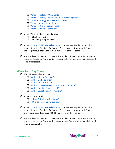- $\Box$  Verbal [Strategy](https://gmat.magoosh.com/lessons/932-strategy-using-splits/) Using Splits
- $\Box$  Verbal Strategy False Splits & [Low-Hanging](https://gmat.magoosh.com/lessons/933-strategy-false-splits-low-hanging-fruit/) Fruit\*
- $\Box$  Verbal [Strategy](https://gmat.magoosh.com/lessons/934-strategy-ideal-vs-best-answer/) Ideal vs. Best Answer
- $\Box$  Verbal About the SC [Module](https://gmat.magoosh.com/lessons/935-about-the-sc-module/)
- $\Box$  Verbal Intro to Parts of [Speech](https://gmat.magoosh.com/lessons/936-intro-to-parts-of-speech/)
- $\Box$  Verbal The Roles of [Nouns\\*](https://gmat.magoosh.com/lessons/937-the-roles-of-nouns/)
- $\Box$  In the Official Guide, do the following:
	- $\Box$  16 Problem Solving
	- 12 Reading Comprehension
- $\Box$  In the Magoosh GMAT Math [Flashcards,](https://gmat.magoosh.com/flashcards/math/) continue learning the cards in the second deck, the Fractions, Ratios, and Percents deck. Review cards from this and the previous deck. Spend 10-15 minutes with these cards.
- $\Box$  Spend at least 30 minutes on the outside reading of your choice. Pay attention to sentence structures. Pay attention to arguments. Pay attention to main ideas & roles of paragraphs.

#### **Week Two, Day Three**

- □ Watch Magoosh lesson videos:
	- $\Box$  Math Intro to [Decimals\\*](https://gmat.magoosh.com/lessons/1205-intro-to-decimals/)
	- $\Box$  Math [Multiples](https://gmat.magoosh.com/lessons/1206-multiples-of-10/) of 10<sup>\*</sup>
	- $\Box$  Math Intro to [Fractions\\*](https://gmat.magoosh.com/lessons/1207-intro-to-fractions/)
	- $\Box$  Math [Conversions](https://gmat.magoosh.com/lessons/1208-conversions-with-fractions-and-decimals/) with Fractions and Decimals\*
	- **Math Fraction [Properties](https://gmat.magoosh.com/lessons/1209-fraction-properties-i/) I\***
	- $\Box$  Math [Operations](https://gmat.magoosh.com/lessons/1210-operations-with-fractions/) with Fractions\*
- $\Box$  In the Magoosh product, do:
	- $\Box$  12 Data Sufficiency [Questions\\*](https://gmat.magoosh.com/practices/start/)
	- □ 13 Critical Reasoning Questions<sup>\*</sup>
- $\Box$  In the Magoosh GMAT Math [Flashcards,](https://gmat.magoosh.com/flashcards/math/) continue learning the cards in the second deck, the Fractions, Ratios, and Percents deck. Review cards from this and the previous deck. Spend 10-15 minutes with these cards.
- $\Box$  Spend at least 30 minutes on the outside reading of your choice. Pay attention to sentence structures. Pay attention to arguments. Pay attention to main ideas & roles of paragraphs.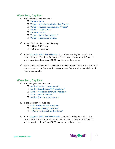## **Week Two, Day Four**

- □ Watch Magoosh lesson videos:
	- $\blacksquare$  Verbal [Verbs\\*](https://gmat.magoosh.com/lessons/938-verbs/)
	- $\Box$  Verbal [Adjectives](https://gmat.magoosh.com/lessons/1044-adjectives-and-adjectival-phrases/) and Adjectival Phrases
	- $\Box$  Verbal Adverbs and [Adverbial](https://gmat.magoosh.com/lessons/940-adverbs-and-adverbial-phrases/) Phrases\*
	- $\Box$  Verbal [Conjunctions\\*](https://gmat.magoosh.com/lessons/941-conjunctions/)
	- $\Box$  Verbal [Clauses](https://gmat.magoosh.com/lessons/942-clauses/)
	- $\Box$  Verbal [Subordinate](https://gmat.magoosh.com/lessons/1020-subordinate-clauses/) Clauses\*
	- $\Box$  Verbal [Substantive](https://gmat.magoosh.com/lessons/944-substantive-clauses/) Clauses

#### $\Box$  In the Official Guide, do the following:

- $\Box$  16 Data Sufficiency
- $\Box$  16 Critical Reasoning
- $\Box$  In the Magoosh GMAT Math [Flashcards,](https://gmat.magoosh.com/flashcards/math/) continue learning the cards in the second deck, the Fractions, Ratios, and Percents deck. Review cards from this and the previous deck. Spend 10-15 minutes with these cards.
- $\Box$  Spend at least 30 minutes on the outside reading of your choice. Pay attention to sentence structures. Pay attention to arguments. Pay attention to main ideas & roles of paragraphs.

# **Week Two, Day Five**

- □ Watch Magoosh lesson videos:
	- $\Box$  Math Fraction [Properties](https://gmat.magoosh.com/lessons/1211-fraction-properties-ii/)  $II^*$
	- $\Box$  Math Operations with [Proportions\\*](https://gmat.magoosh.com/lessons/1212-operations-with-proportions/)
	- $\Box$  Math Word Problems with [Fractions\\*](https://gmat.magoosh.com/lessons/1213-word-problems-with-fractions/)
	- $Math$  Intro to [Percents](https://gmat.magoosh.com/lessons/1236-intro-to-percents/)
	- $\Box$  Math Working with [Percents\\*](https://gmat.magoosh.com/lessons/1237-working-with-percents/)
- $\Box$  In the Magoosh product, do:
	- Quiz: [Arithmetic](https://gmat.magoosh.com/lesson_groups/18-arithmetic-and-fractions) and Fractions\*
	- 12 Problem Solving [Questions\\*](https://gmat.magoosh.com/practices/start/)
	- 11 Sentence Correction [Questions\\*](https://gmat.magoosh.com/practices/start/)
- $\Box$  In the Magoosh GMAT Math [Flashcards,](https://gmat.magoosh.com/flashcards/math/) continue learning the cards in the second deck, the Fractions, Ratios, and Percents deck. Review cards from this and the previous deck. Spend 10-15 minutes with these cards.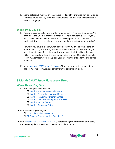<span id="page-14-0"></span> $\Box$  Spend at least 30 minutes on the outside reading of your choice. Pay attention to sentence structures. Pay attention to arguments. Pay attention to main ideas & roles of paragraphs.

# **Week Two, Day Six**

 $\Box$  Today, you are going to write another practice essay. From the Argument AWA prompts in the OG, pick another at random (or have someone pick it for you), and take 30 minutes to write an essay on the computer. (If you can turn off spellcheck & autocorrect, do so, as you will not have that feature on test day.)

Now that you have this essay, what do you do with it? If you have a friend or mentor who is a gifted writer, see whether they would read the essay for you and critique it. Some folks hire a writing tutor specifically for this. If they are willing, you can show them the assessment criteria in the OG, and ask them to follow it. Alternately, you can upload your essay in the online forms and ask for feedback.

 $\Box$  In the Magoosh GMAT Idiom [Flashcards.](https://gmat.magoosh.com/flashcards/idioms/) Study the cards in the second deck, Basic II. As time allows, review cards from the earlier Idiom deck.

# **3 Month GMAT Study Plan: Week Three**

# **Week Three, Day One**

- □ Watch Magoosh lesson videos:
	- $\Box$  Math Number Sense and [Percents](https://gmat.magoosh.com/lessons/1238-number-sense-and-percents/)
	- $\Box$  Math Percent Increases and [Decreases\\*](https://gmat.magoosh.com/lessons/1239-percent-increases-and-decreases/)
	- $\Box$  Math [Sequential](https://gmat.magoosh.com/lessons/1240-sequential-percent-changes/) Percent Changes
	- $\Box$  Math Simple and [Compound](https://gmat.magoosh.com/lessons/1241-simple-and-compound-interest/) Interest\*
	- $\Box$  Math Intro to [Ratios](https://gmat.magoosh.com/lessons/1242-intro-to-ratios/)
	- $\Box$  Math [Combining](https://gmat.magoosh.com/lessons/1243-combining-ratios/) Ratios\*
- $\Box$  In the Magoosh product, do:
	- 12 Problem Solving [Questions\\*](https://gmat.magoosh.com/practices/start/)
	- □ 12 Reading [Comprehension](https://gmat.magoosh.com/practices/start/) Questions<sup>\*</sup>
- $\Box$  In the Magoosh GMAT Math [Flashcards,](https://gmat.magoosh.com/flashcards/math/) start learning the cards in the third deck, the Geometry deck. Spend 10-15 minutes with these cards.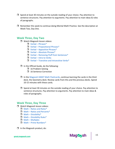- $\Box$  Spend at least 30 minutes on the outside reading of your choice. Pay attention to sentence structures. Pay attention to arguments. Pay attention to main ideas & roles of paragraphs.
- $\Box$  Remember this week to continue doing Mental Math Practice. See the description at Week Two, Day One.

# **Week Three, Day Two**

- □ Watch Magoosh lesson videos:
	- $\Box$  Verbal [Phrases\\*](https://gmat.magoosh.com/lessons/945-phrases/)
	- $\Box$  Verbal [Prepositional](https://gmat.magoosh.com/lessons/946-prepositional-phrases/) Phrases\*
	- $\Box$  Verbal [Appositive](https://gmat.magoosh.com/lessons/947-appositive-phrases/) Phrases\*
	- $\Box$  Verbal Absolute [Phrases\\*](https://gmat.magoosh.com/lessons/948-absolute-phrases/)
	- $\Box$  Verbal Removing Fluff from [Sentences\\*](https://gmat.magoosh.com/lessons/949-removing-fluff-from-sentences/)
	- $\Box$  [Verbal](https://gmat.magoosh.com/lessons/969-intro-to-verbs/) Intro to Verbs
	- $\Box$  Verbal Transitive and [Intransitive](https://gmat.magoosh.com/lessons/970-transitive-and-intransitive-verbs/) Verbs\*
- $\Box$  In the Official Guide, do the following:
	- $\Box$  16 Problem Solving
	- □ 16 Sentence Correction
- $\Box$  In the Magoosh GMAT Math [Flashcards,](https://gmat.magoosh.com/flashcards/math/) continue learning the cards in the third deck, the Geometry deck. Review cards from this and the previous decks. Spend 10-15 minutes with these cards.
- $\Box$  Spend at least 30 minutes on the outside reading of your choice. Pay attention to sentence structures. Pay attention to arguments. Pay attention to main ideas & roles of paragraphs.

# **Week Three, Day Three**

- □ Watch Magoosh lesson videos:
	- $\Box$  Math Ratios and [Rates\\*](https://gmat.magoosh.com/lessons/1244-ratios-and-rates/)
	- $\Box$  Math Ratios and [Percents\\*](https://gmat.magoosh.com/lessons/1245-ratios-and-percents/)
	- $\Box$  Math [Divisibility\\*](https://gmat.magoosh.com/lessons/301-divisibility/)
	- $\Box$  Math [Divisibility](https://gmat.magoosh.com/lessons/302-divisibility-rules/) Rules\*
	- $\Box$  Math [Multiples](https://gmat.magoosh.com/lessons/1248-multiples/)
	- $\blacksquare$  Math Prime [Numbers\\*](https://gmat.magoosh.com/lessons/303-prime-numbers/)
- $\Box$  In the Magoosh product, do:

15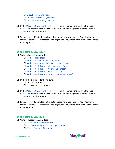- $\Box$  Quiz: [Percents](https://gmat.magoosh.com/lesson_groups/125-percents-and-ratios/) and Ratios $^*$
- □ 15 Data Sufficiency Questions<sup>\*</sup>
- □ 13 Critical Reasoning Questions<sup>\*</sup>
- $\Box$  In the Magoosh GMAT Math [Flashcards,](https://gmat.magoosh.com/flashcards/math/) continue learning the cards in the third deck, the Geometry deck. Review cards from this and the previous decks. Spend 10- 15 minutes with these cards.
- $\Box$  Spend at least 30 minutes on the outside reading of your choice. Pay attention to sentence structures. Pay attention to arguments. Pay attention to main ideas & roles of paragraphs.

## **Week Three, Day Four**

- □ Watch Magoosh lesson videos:
	- $\Box$  Verbal [Predicates](https://gmat.magoosh.com/lessons/1182-predicates/)
	- $\Box$  Verbal [Grammar](https://gmat.magoosh.com/lessons/972-grammar-auxiliary-verbs/) Auxiliary Verbs\*
	- $\Box$  Verbal [Grammar](https://gmat.magoosh.com/lessons/973-grammar-regular-vs-irregular-verbs/) Regular vs. Irregular Verbs\*
	- $\Box$  Verbal Verb Tense Intro and Simple [Tenses\\*](https://gmat.magoosh.com/lessons/974-verb-tense-intro-and-simple-tenses/)
	- $\Box$  Verbal Verb Tense [Progressive](https://gmat.magoosh.com/lessons/975-verb-tense-progressive-tenses/) Tenses\*
	- $\Box$  Verbal Verb Tense Perfect [Tenses\\*](https://gmat.magoosh.com/lessons/976-verb-tense-perfect-tenses/)
	- $\Box$  Verbal Verb Tense Perfect [Progressive](https://gmat.magoosh.com/lessons/977-verb-tense-perfect-progressive-tenses/) Tenses\*
- $\Box$  In the Official Guide, do the following:
	- $\Box$  16 Data Sufficiency
	- $\Box$  12 Reading Comprehension
- $\Box$  In the Magoosh GMAT Math [Flashcards,](https://gmat.magoosh.com/flashcards/math/) continue learning the cards in the third deck, the Geometry deck. Review cards from this and the previous decks. Spend 10- 15 minutes with these cards.
- $\Box$  Spend at least 30 minutes on the outside reading of your choice. Pay attention to sentence structures. Pay attention to arguments. Pay attention to main ideas & roles of paragraphs.

# **Week Three, Day Five**

- □ Watch Magoosh lesson videos:
	- $\Box$  Math Prime [Factorization\\*](https://gmat.magoosh.com/lessons/304-prime-factorization/)
	- $\Box$  Math Counting Factors of Large [Numbers\\*](https://gmat.magoosh.com/lessons/305-counting-factors-of-large-numbers/)
	- $\Box$  Math Squares of [Integers\\*](https://gmat.magoosh.com/lessons/306-squares-of-integers/)

gmat.magoosh.com

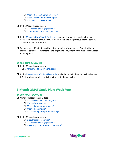- <span id="page-17-0"></span> $\Box$  Math – Greatest [Common](https://gmat.magoosh.com/lessons/310-greatest-common-factor/) Factor\*
- $\Box$  Math Least Common [Multiple\\*](https://gmat.magoosh.com/lessons/312-least-common-multiple/)
- $M<sub>ath</sub> GCD$  LCM [Formula\\*](https://gmat.magoosh.com/lessons/313-gcd-lcm-formula/)
- $\Box$  In the Magoosh product, do:
	- 12 Problem Solving [Questions\\*](https://gmat.magoosh.com/practices/start/)
	- 11 Sentence Correction [Questions\\*](https://gmat.magoosh.com/practices/start/)
- In the Magoosh GMAT Math [Flashcards,](https://gmat.magoosh.com/flashcards/math/) continue learning the cards in the third deck, the Geometry deck. Review cards from this and the previous decks. Spend 10- 15 minutes with these cards.
- $\Box$  Spend at least 30 minutes on the outside reading of your choice. Pay attention to sentence structures. Pay attention to arguments. Pay attention to main ideas & roles of paragraphs.

# **Week Three, Day Six**

- $\Box$  In the Magoosh product, do: □ 30 Integrated Reasoning Questions<sup>\*</sup>
- $\Box$  In the Magoosh GMAT Idiom [Flashcards,](https://gmat.magoosh.com/flashcards/idioms/) study the cards in the third deck, Advanced I. As time allows, review cards from the earlier Idiom decks.

# **3 Month GMAT Study Plan: Week Four**

# **Week Four, Day One**

- □ Watch Magoosh lesson videos:
	- $\Box$  Math Even and Odd [Integers\\*](https://gmat.magoosh.com/lessons/314-even-and-odd-integers/)
	- $\Box$  Math [Testing](https://gmat.magoosh.com/lessons/315-testing-cases/) Cases\*
	- $\Box$  Math [Consecutive](https://gmat.magoosh.com/lessons/316-consecutive-integers/) Integers\*
	- $\Box$  Math [Remainders\\*](https://gmat.magoosh.com/lessons/966-remainders/)
	- $\Box$  Math Integer [Properties](https://gmat.magoosh.com/lessons/320-integer-properties-strategies/) Strategies

#### $\Box$  In the Magoosh product, do:

- Quiz: Integer [Properties\\*](https://gmat.magoosh.com/lesson_groups/23-integer-properties/)
- 12 Problem Solving [Questions\\*](https://gmat.magoosh.com/practices/start/)
- □ 8 Reading [Comprehension](https://gmat.magoosh.com/practices/start/) Questions<sup>\*</sup>



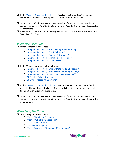- $\Box$  In the Magoosh GMAT Math [Flashcards,](https://gmat.magoosh.com/flashcards/math/) start learning the cards in the fourth deck, the Number Properties I deck. Spend 10-15 minutes with these cards.
- $\Box$  Spend at least 30 minutes on the outside reading of your choice. Pay attention to sentence structures. Pay attention to arguments. Pay attention to main ideas & roles of paragraphs.
- $\Box$  Remember this week to continue doing Mental Math Practice. See the description at Week Two, Day One.

# **Week Four, Day Two**

- □ Watch Magoosh lesson videos:
	- $\Box$  [Integrated](https://gmat.magoosh.com/lessons/644-intro-to-integrated-reasoning/) Reasoning Intro to Integrated Reasoning
	- $\Box$  Integrated Reasoning The IR [Calculator\\*](https://gmat.magoosh.com/lessons/645-the-ir-calculator/)
	- $\Box$  Integrated Reasoning General IR [Strategies\\*](https://gmat.magoosh.com/lessons/647-general-ir-strategies/)
	- $\Box$  Integrated Reasoning [Multi-Source](https://gmat.magoosh.com/lessons/654-multi-source-reasoning/) Reasoning\*
	- $\Box$  [Integrated](https://gmat.magoosh.com/lessons/652-table-analysis/) Reasoning Table Analysis\*
- $\Box$  In the Magoosh product, do the following:
	- $\Box$  Integrated Reasoning Bradley [Metalworks](https://gmat.magoosh.com/lessons/658-bradley-metalworks-1-practice/) 1 (Practice)\*
	- $\Box$  Integrated Reasoning Bradley [Metalworks](https://gmat.magoosh.com/lessons/659-bradley-metalworks-2-practice/) 2 (Practice)\*
	- $\Box$  Integrated Reasoning High School Exams [\(Practice\)\\*](https://gmat.magoosh.com/lessons/657-high-school-exams-practice/)
	- **16 Problem Solving [Questions\\*](https://gmat.magoosh.com/practices/start/)**
	- $\Box$  16 Critical Reasoning [Questions\\*](https://gmat.magoosh.com/practices/start/)
- $\Box$  In the Magoosh GMAT Math [Flashcards,](https://gmat.magoosh.com/flashcards/math/) continue learning the cards in the fourth deck, the Number Properties I deck. Review cards from this and the previous decks. Spend 10-15 minutes with these cards.
- $\Box$  Spend at least 30 minutes on the outside reading of your choice. Pay attention to sentence structures. Pay attention to arguments. Pay attention to main ideas & roles of paragraphs.

# **Week Four, Day Three**

- □ Watch Magoosh lesson videos:
	- $\Box$  Math Simplifying [Expressions\\*](https://gmat.magoosh.com/lessons/231-simplifying-expressions/)
	- $\Box$  Math Multiplying [Expressions\\*](https://gmat.magoosh.com/lessons/232-multiplying-expressions/)
	- $\Box$  Math FOIL [Method\\*](https://gmat.magoosh.com/lessons/233-foil-method/)
	- $\Box$  Math [Factoring](https://gmat.magoosh.com/lessons/234-factoring-gcf/) GCF\*
	- $\Box$  Math Factoring [Difference](https://gmat.magoosh.com/lessons/235-factoring-difference-of-two-squares/) of Two Squares\*

gmat.magoosh.com

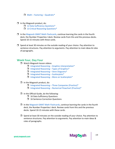$\Box$  Math – Factoring – [Quadratic\\*](https://gmat.magoosh.com/lessons/236-factoring-quadratics/)

- $\Box$  In the Magoosh product, do:
	- 12 Data Sufficiency [Questions\\*](https://gmat.magoosh.com/practices/start/)
	- □ 13 Critical Reasoning Questions<sup>\*</sup>
- $\Box$  In the Magoosh GMAT Math [Flashcards,](https://gmat.magoosh.com/flashcards/math/) continue learning the cards in the fourth deck, the Number Properties I deck. Review cards from this and the previous decks. Spend 10-15 minutes with these cards.
- $\Box$  Spend at least 30 minutes on the outside reading of your choice. Pay attention to sentence structures. Pay attention to arguments. Pay attention to main ideas & roles of paragraphs.

# **Week Four, Day Four**

- □ Watch Magoosh lesson videos:
	- $\Box$  Integrated Reasoning Graphics [Interpretation\\*](https://gmat.magoosh.com/lessons/648-graphics-interpretation/)
	- $\Box$  [Integrated](https://gmat.magoosh.com/lessons/649-types-of-graphics/) Reasoning Types of Graphics\*
	- $\Box$  Integrated Reasoning Venn [Diagrams\\*](https://gmat.magoosh.com/lessons/650-venn-diagrams/)
	- $\Box$  Integrated Reasoning [Scatterplots\\*](https://gmat.magoosh.com/lessons/651-scatterplots/)
	- $\Box$  Integrated Reasoning More on [Scatterplots\\*](https://gmat.magoosh.com/lessons/1379-more-on-scatterplots/)
- $\Box$  In the Magoosh product, do:
	- $\Box$  Integrated Reasoning Three [Companies](https://gmat.magoosh.com/lessons/655-three-companies-practice/) (Practice)\*
	- $\Box$  Integrated Reasoning Numerical Flowchart [\(Practice\)\\*](https://gmat.magoosh.com/lessons/656-numerical-flowchart-practice/)
- $\Box$  In the Official Guide, do the following:
	- □ 16 Data Sufficiency Questions
	- □ 16 Sentence Correction Questions
- $\Box$  In the Magoosh GMAT Math [Flashcards,](https://gmat.magoosh.com/flashcards/math/) continue learning the cards in the fourth deck, the Number Properties I deck. Review cards from this and the previous decks. Spend 10-15 minutes with these cards.
- $\Box$  Spend at least 30 minutes on the outside reading of your choice. Pay attention to sentence structures. Pay attention to arguments. Pay attention to main ideas & roles of paragraphs.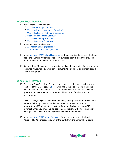# **Week Four, Day Five**

- □ Watch Magoosh lesson videos:
	- $\Box$  Math Factoring [Combined\\*](https://gmat.magoosh.com/lessons/237-factoring-combined/)
	- $\Box$  Math Advanced Numerical [Factoring\\*](https://gmat.magoosh.com/lessons/1310-advanced-numerical-factoring/)
	- $\Box$  Math Factoring Rational [Expressions](https://gmat.magoosh.com/lessons/238-factoring-rational-expressions/)
	- $\Box$  Math Basic [Equation](https://gmat.magoosh.com/lessons/239-basic-equation-solving/) Solving\*
	- $\Box$  Math [Eliminating](https://gmat.magoosh.com/lessons/240-eliminating-fractions/?utm_source=gmatblog&utm_medium=blog&utm_campaign=gmatlessons&utm_term=inline&utm_content=3-month-gmat-study-schedule-for-beginners) Fractions\*
	- $\Box$  Math Quadratic [Equations\\*](https://gmat.magoosh.com/lessons/241-quadratic-equations/)
- $\Box$  In the Magoosh product, do:
	- 12 Problem Solving [Questions\\*](https://gmat.magoosh.com/practices/start/)
	- □ 11 Sentence Correction Questions<sup>\*</sup>
- $\Box$  In the Magoosh GMAT Math [Flashcards,](https://gmat.magoosh.com/flashcards/math/) continue learning the cards in the fourth deck, the Number Properties I deck. Review cards from this and the previous decks. Spend 10-15 minutes with these cards.
- $\Box$  Spend at least 30 minutes on the outside reading of your choice. Pay attention to sentence structures. Pay attention to arguments. Pay attention to main ideas & roles of paragraphs.

# **Week Four, Day Six**

 $\Box$  Go back to GMAC's official IR practice questions: Use the access code given in the back of the OG, logging in [here.](https://www.efficientlearning.com/support/gmat1/) Once again, this site contains the online version of all the questions in the OG, in case you want to practice the identical questions online instead of on paper; in addition, the official IR practice questions live here.

Uncheck everything else and do the remaining 38 IR questions, in three batches, with the following times: six Table Analysis (15 minutes); ten Graphics Interpretation (25 minutes); and sixteen Two-Part Analysis questions (40 minutes). When you are done, go back and read carefully the full explanation for each question. Take notes on anything you need to remember.

 $\Box$  In the Magoosh GMAT Idiom [Flashcards:](https://gmat.magoosh.com/flashcards/idioms/) Study the cards in the final deck, Advanced II. Do a thorough review of the cards from the earlier Idiom decks.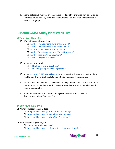<span id="page-21-0"></span> $\Box$  Spend at least 30 minutes on the outside reading of your choice. Pay attention to sentence structures. Pay attention to arguments. Pay attention to main ideas & roles of paragraphs.

# **3 Month GMAT Study Plan: Week Five**

# **Week Five, Day One**

- □ Watch Magoosh lesson videos:
	- $\Box$  Math Two Equations, Two [Unknowns](https://gmat.magoosh.com/lessons/242-two-equations-two-unknowns-i/) I\*
	- $\Box$  Math Two Equations, Two [Unknowns](https://gmat.magoosh.com/lessons/1311-two-equations-two-unknowns-ii/) II
	- $\Box$  Math System Number of [Solutions\\*](https://gmat.magoosh.com/lessons/243-system-number-of-solutions/)
	- $\Box$  Math Three Equations with Three [Unknowns\\*](https://gmat.magoosh.com/lessons/244-three-equations-with-three-unknowns/)
	- $\Box$  Math Absolute Value [Equations\\*](https://gmat.magoosh.com/lessons/247-absolute-value-equations/)
	- $\Box$  Math Function [Notation\\*](https://gmat.magoosh.com/lessons/248-function-notation/)

#### $\Box$  In the Magoosh product, do:

- **12 Problem Solving [Questions\\*](https://gmat.magoosh.com/practices/start/)**
- 12 Reading [Comprehension](https://gmat.magoosh.com/practices/start/) Questions\*
- $\Box$  In the Magoosh GMAT Math [Flashcards,](https://gmat.magoosh.com/flashcards/math/) start learning the cards in the fifth deck, the Number Properties II deck. Spend 10-15 minutes with these cards.
- $\Box$  Spend at least 30 minutes on the outside reading of your choice. Pay attention to sentence structures. Pay attention to arguments. Pay attention to main ideas & roles of paragraphs.
- $\Box$  Remember this week to continue doing Mental Math Practice. See the description at Week Two, Day One.

#### **Week Five, Day Two**

- □ Watch Magoosh lesson videos:
	- $\Box$  [Integrated](https://gmat.magoosh.com/lessons/1008-intro-to-two-part-analysis/) Reasoning Intro to Two-Part Analysis\*
	- $\Box$  [Integrated](https://gmat.magoosh.com/lessons/1009-verbal-two-part-analysis/) Reasoning Verbal Two-Part Analysis\*
	- $\Box$  [Integrated](https://gmat.magoosh.com/lessons/1010-math-two-part-analysis/) Reasoning Math Two-Part Analysis\*

#### $\Box$  In the Magoosh product, do:

- Quiz: Integrated [Reasoning\\*](https://gmat.magoosh.com/lesson_groups/54-integrated-reasoning/)
- $\Box$  Integrated Reasoning Highway to [Hillsborough](https://gmat.magoosh.com/lessons/1380-highway-to-hillsborough-practice/) (Practice)\*

gmat.magoosh.com

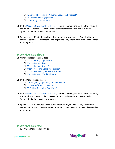- $\Box$  Integrated Reasoning Algebraic Sequence [\(Practice\)\\*](https://gmat.magoosh.com/lessons/660-algebraic-sequence-practice/)
- 16 Problem Solving [Questions\\*](https://gmat.magoosh.com/practices/start/)
- $\Box$  12 Reading [Comprehension\\*](https://gmat.magoosh.com/practices/start/)
- $\Box$  In the Magoosh GMAT Math [Flashcards,](https://gmat.magoosh.com/flashcards/math/) continue learning the cards in the fifth deck, the Number Properties II deck. Review cards from this and the previous decks. Spend 10-15 minutes with these cards.
- $\Box$  Spend at least 30 minutes on the outside reading of your choice. Pay attention to sentence structures. Pay attention to arguments. Pay attention to main ideas & roles of paragraphs.

# **Week Five, Day Three**

- □ Watch Magoosh lesson videos:
	- $\Box$  Math Strange [Operators\\*](https://gmat.magoosh.com/lessons/249-strange-operators/)
	- $\Box$  Math [Inequalities](https://gmat.magoosh.com/lessons/251-inequalities-i/) I\*
	- $\Box$  Math [Inequalities](https://gmat.magoosh.com/lessons/252-inequalities-ii/) II\*
	- $\Box$  Math Absolute Value [Inequalities\\*](https://gmat.magoosh.com/lessons/253-absolute-value-inequalities/)
	- $\Box$  Math Simplifying with [Substitutions](https://gmat.magoosh.com/lessons/255-simplifying-with-substitutions/)
	- $\Box$  Math Intro to Word [Problems](https://gmat.magoosh.com/lessons/265-intro-to-word-problems/)

#### $\Box$  In the Magoosh product, do:

- $\Box$  Quiz: Algebra, Equations, and [Inequalities\\*](https://gmat.magoosh.com/lesson_groups/19-algebra-equations-and-inequalities/)
- □ 12 Data Sufficiency Questions<sup>\*</sup>
- □ 13 Critical Reasoning [Questions\\*](https://gmat.magoosh.com/practices/start/)
- $\Box$  In the Magoosh GMAT Math [Flashcards,](https://gmat.magoosh.com/flashcards/math/) continue learning the cards in the fifth deck, the Number Properties II deck. Review cards from this and the previous decks. Spend 10-15 minutes with these cards.
- $\Box$  Spend at least 30 minutes on the outside reading of your choice. Pay attention to sentence structures. Pay attention to arguments. Pay attention to main ideas & roles of paragraphs.

# **Week Five, Day Four**

□ Watch Magoosh lesson videos:

gmat.magoosh.com

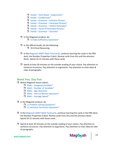- $\Box$  Verbal Verb Mood [Subjunctive\\*](https://gmat.magoosh.com/lessons/978-verb-mood-subjunctive/)
- $\Box$  Verbal [Conditionals\\*](https://gmat.magoosh.com/lessons/979-conditionals/)
- Verbal [Grammar](https://gmat.magoosh.com/lessons/980-grammar-infinitive-phrases/) Infinitive Phrases
- $\Box$  Verbal Grammar [Participial](https://gmat.magoosh.com/lessons/1042-grammar-participial-phrases/) Phrases\*
- $\Box$  Verbal Grammar Perfect [Participles\\*](https://gmat.magoosh.com/lessons/982-grammar-perfect-participles/)
- $\Box$  Verbal Tense of [Participial](https://gmat.magoosh.com/lessons/983-tense-of-participial-phrases/) Phrases\*
- $\Box$  Verbal Grammar [Gerunds\\*](https://gmat.magoosh.com/lessons/984-grammar-gerunds/)
- $\Box$  In the Magoosh product, do:
	- □ 16 Data Sufficiency Questions<sup>\*</sup>
- $\Box$  In the Official Guide, do the following:
	- **16 Critical Reasoning**
- $\Box$  In the Magoosh GMAT Math [Flashcards,](https://gmat.magoosh.com/flashcards/math/) continue learning the cards in the fifth deck, the Number Properties II deck. Review cards from this and the previous decks. Spend 10-15 minutes with these cards.
- $\Box$  Spend at least 30 minutes on the outside reading of your choice. Pay attention to sentence structures. Pay attention to arguments. Pay attention to main ideas & roles of paragraphs.

# **Week Five, Day Five**

- □ Watch Magoosh lesson videos:
	- $\Box$  Math Assigning [Variables\\*](https://gmat.magoosh.com/lessons/267-assigning-variables/)
	- $\Box$  Math Number of [Variables\\*](https://gmat.magoosh.com/lessons/269-number-of-variables/)
	- $\Box$  Math Age [Questions](https://gmat.magoosh.com/lessons/270-age-questions/)
	- $\Box$  Math Intro to Motion [Questions\\*](https://gmat.magoosh.com/lessons/271-intro-to-motion-questions/)
	- $\Box$  Math [Average](https://gmat.magoosh.com/lessons/272-average-speed/) Speed\*
- $\Box$  In the Magoosh product, do:
	- 12 Problem Solving [Questions\\*](https://gmat.magoosh.com/practices/start/)
	- 11 Sentence Correction [Questions\\*](https://gmat.magoosh.com/practices/start/)
- $\Box$  In the Magoosh GMAT Math [Flashcards,](https://gmat.magoosh.com/flashcards/math/) continue learning the cards in the fifth deck, the Number Properties II deck. Review cards from this and the previous decks. Spend 10-15 minutes with these cards.
- $\Box$  Spend at least 30 minutes on the outside reading of your choice. Pay attention to sentence structures. Pay attention to arguments. Pay attention to main ideas & roles of paragraphs.

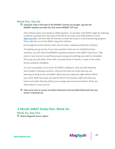# **Week Five, Day Six**

 $\Box$  Using the code in the back of the MGMAT volume you bought, log into the MGMAT website and take the first online MGMAT CAT test.

That software does not include an AWA question. To simulate a full GMAT, begin by selecting randomly a prompt from the back of the OG (if you have a pre-2020 edition) or this [MBA.com PDF,](https://www.mba.com/-/media/files/mba2/the-gmat-exam/gmat-exam-format-and-timing/analytical-writing-assessment/analysisofanargument_gmat-exam.pdf) and then take 30 minutes to write the essay in a word processing program. Then, take the rest of the GMAT using that software.

Go through the entire solution after you are done, reading carefully the solutions

of anything you go wrong. If you have questions that are not clarified by these solutions, you will often find MGMAT questions posted on the GMAT Club forum. Take notes in your journal on anything you got wrong and anything you need to remember. The essay you will either share with a trusted friend or mentor, or post in the online forums asking for feedback.

As much as possible, try to mimic the GMAT conditions. Give yourself relatively short breaks in between sections. Only eat the kinds of snacks that you are planning to bring to the real GMAT. Note how your sleep the night before affects your work. Note how what you had for dinner the previous night and what you had to eat earlier that day affects your energy level and concentration. Write any observations in your journal.

 $\Box$  Take some time to review any Idiom flashcards and any Math flashcards that you haven't mastered yet.

# **3 Month GMAT Study Plan: Week Six**

# **Week Six, Day One**

□ Watch Magoosh lesson videos:

24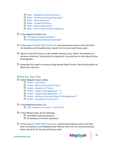- <span id="page-25-0"></span> $\Box$  Math – Multiple Traveler [Questions](https://gmat.magoosh.com/lessons/273-multiple-traveler-questions/)
- $\Box$  Math Shrinking and [Expanding](https://gmat.magoosh.com/lessons/274-shrinking-and-expanding-gaps/) Gaps\*
- $\Box$  Math Work [Questions\\*](https://gmat.magoosh.com/lessons/275-work-questions/)
- $\Box$  Math [Growth](https://gmat.magoosh.com/lessons/281-growth-and-decay/) and Decay
- $\Box$  Math Mixture [Questions\\*](https://gmat.magoosh.com/lessons/282-mixture-questions/)
- $\Box$  Math Intro to Sets and Venn [Diagrams](https://gmat.magoosh.com/lessons/1317-intro-to-sets-and-venn-diagrams/)
- $\Box$  In the Magoosh product, do:
	- 12 Problem Solving [Questions\\*](https://gmat.magoosh.com/practices/start/)
	- □ 8 Reading [Comprehension](https://gmat.magoosh.com/practices/start/) Questions<sup>\*</sup>
- $\Box$  In the Magoosh GMAT Math [Flashcards,](https://gmat.magoosh.com/flashcards/math/) start learning the cards in the sixth deck, the Statistics and Probability deck. Spend 10-15 minutes with these cards.
- $\Box$  Spend at least 30 minutes on the outside reading of your choice. Pay attention to sentence structures. Pay attention to arguments. Pay attention to main ideas & roles of paragraphs.
- $\Box$  Remember this week to continue doing Mental Math Practice. See the description at Week Two, Day One.

# **Week Six, Day Two**

- □ Watch Magoosh lesson videos:
	- $\Box$  Verbal Verb [Voice\\*](https://gmat.magoosh.com/lessons/985-verb-voice/)
	- $\Box$  Verbal More on the [Passive](https://gmat.magoosh.com/lessons/986-more-on-the-passive-voice/) Voice\*
	- $\Box$  Verbal [Sequence](https://gmat.magoosh.com/lessons/987-sequence-of-tenses/) of Tenses
	- $\Box$  Verbal Subject Verb [Agreement](https://gmat.magoosh.com/lessons/611-subject-verb-agreement-i/) I\*
	- $\Box$  Verbal Subject Verb [Agreement](https://gmat.magoosh.com/lessons/612-subject-verb-agreement-ii/) II\*
	- $\Box$  Verbal Auxiliary Verbs and Subject Verb [Agreement\\*](https://gmat.magoosh.com/lessons/1276-auxiliary-verbs-and-subject-verb-agreement/)
	- $\Box$  Verbal [Introduction](https://gmat.magoosh.com/lessons/1277-introduction-to-pronouns/) to Pronouns
- $\Box$  In the Magoosh product, do:
	- Quiz: Sentence [Correction](https://gmat.magoosh.com/lesson_groups/133-sentence-correction-verb-form/) Verb Form\*
- $\Box$  In the Official Guide, do the following:
	- $\Box$  16 Problem Solving Questions
	- □ 16 Sentence Correction Questions
- $\Box$  In the Magoosh GMAT Math [Flashcards,](https://gmat.magoosh.com/flashcards/math/) continue learning the cards in the sixth deck, the Statistics and Probability deck. Review cards from this and the previous decks. Spend 10-15 minutes with these cards.

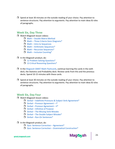$\Box$  Spend at least 30 minutes on the outside reading of your choice. Pay attention to sentence structures. Pay attention to arguments. Pay attention to main ideas & roles of paragraphs.

# **Week Six, Day Three**

- □ Watch Magoosh lesson videos:
	- $\Box$  Math Double Matrix [Method](https://gmat.magoosh.com/lessons/276-double-matrix-method/)
	- $\Box$  Math Three Criteria Venn [Diagrams\\*](https://gmat.magoosh.com/lessons/277-three-criteria-venn-diagrams/)
	- $\Box$  Math Intro to [Sequences](https://gmat.magoosh.com/lessons/278-intro-to-sequences/)
	- $\Box$  Math Arithmetic [Sequences\\*](https://gmat.magoosh.com/lessons/1318-arithmetic-sequences/)
	- $\Box$  Math Recursive [Sequences\\*](https://gmat.magoosh.com/lessons/279-recursive-sequences/)
	- $\Box$  Math Inclusive [Counting\\*](https://gmat.magoosh.com/lessons/1319-inclusive-counting/)

#### $\Box$  In the Magoosh product, do:

- 12 Problem Solving [Questions\\*](https://gmat.magoosh.com/practices/start/)
- □ 13 Critical Reasoning Questions<sup>\*</sup>
- $\Box$  In the Magoosh GMAT Math [Flashcards,](https://gmat.magoosh.com/flashcards/math/) continue learning the cards in the sixth deck, the Statistics and Probability deck. Review cards from this and the previous decks. Spend 10-15 minutes with these cards.
- $\Box$  Spend at least 30 minutes on the outside reading of your choice. Pay attention to sentence structures. Pay attention to arguments. Pay attention to main ideas & roles of paragraphs.

## **Week Six, Day Four**

- □ Watch Magoosh lesson videos:
	- $\Box$  Verbal Indefinite Pronouns & Subject Verb [Agreement\\*](https://gmat.magoosh.com/lessons/1278-indefinite-pronouns-subject-verb-agreement/)
	- $\Box$  Verbal Pronoun [Agreement](https://gmat.magoosh.com/lessons/613-pronoun-agreement-i/) I\*
	- $\Box$  Verbal Pronoun [Agreement](https://gmat.magoosh.com/lessons/614-pronoun-agreement-ii/) II\*
	- $\Box$  Verbal [Infinitive](https://gmat.magoosh.com/lessons/1046-infinitive-of-purpose/) of Purpose
	- $\Box$  Verbal The Missing Verb [Mistake](https://gmat.magoosh.com/lessons/914-the-missing-verb-mistake/)
	- $\Box$  Verbal The Double Subject [Mistake\\*](https://gmat.magoosh.com/lessons/915-the-double-subject-mistake/)
	- $\Box$  Verbal Run-On [Sentences\\*](https://gmat.magoosh.com/lessons/916-run-on-sentences/)

#### $\Box$  In the Magoosh product, do:

- $\Box$  Quiz: Sentence Correction [Agreement\\*](https://gmat.magoosh.com/lesson_groups/135-sentence-correction-grammatical-construction/)
- $\Box$  Quiz: Sentence Correction Grammatical [Construction\\*](https://gmat.magoosh.com/lesson_groups/134-sentence-correction-agreement/)

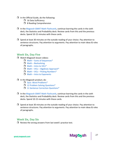- $\Box$  In the Official Guide, do the following:
	- $\Box$  16 Data Sufficiency
	- □ 8 Reading Comprehension
- $\Box$  In the Magoosh GMAT Math [Flashcards,](https://gmat.magoosh.com/flashcards/math/) continue learning the cards in the sixth deck, the Statistics and Probability deck. Review cards from this and the previous decks. Spend 10-15 minutes with these cards.
- $\Box$  Spend at least 30 minutes on the outside reading of your choice. Pay attention to sentence structures. Pay attention to arguments. Pay attention to main ideas & roles of paragraphs.

# **Week Six, Day Five**

- □ Watch Magoosh lesson videos:
	- $\Box$  Math Sums of [Sequences\\*](https://gmat.magoosh.com/lessons/280-sums-of-sequences/)
	- $\Box$  Math [Backsolving](https://gmat.magoosh.com/lessons/266-backsolving/)
	- $\Box$  Math Intro to [VICs\\*](https://gmat.magoosh.com/lessons/283-intro-to-vics/)
	- $\Box$  Math VICs Algebraic [Approach\\*](https://gmat.magoosh.com/lessons/284-vics-algebraic-approach/)
	- $\Box$  Math VICs Picking [Numbers\\*](https://gmat.magoosh.com/lessons/285-vics-picking-numbers/)
	- $\Box$  Math Intro to [Exponents](https://gmat.magoosh.com/lessons/216-intro-to-exponents/)

#### $\Box$  In the Magoosh product, do:

- Quiz: Word [Problems\\*](https://gmat.magoosh.com/lesson_groups/26-word-problems/)
- 12 Problem Solving [Questions\\*](https://gmat.magoosh.com/practices/start/)
- □ 11 Sentence Correction Questions<sup>\*</sup>
- $\Box$  In the Magoosh GMAT Math [Flashcards,](https://gmat.magoosh.com/flashcards/math/) continue learning the cards in the sixth deck, the Statistics and Probability deck. Review cards from this and the previous decks. Spend 10-15 minutes with these cards.
- $\Box$  Spend at least 30 minutes on the outside reading of your choice. Pay attention to sentence structures. Pay attention to arguments. Pay attention to main ideas & roles of paragraphs.

# **Week Six, Day Six**

 $\Box$  Review the wrong answers from last week's practice test.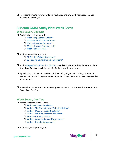<span id="page-28-0"></span> $\Box$  Take some time to review any Idiom flashcards and any Math flashcards that you haven't mastered yet.

# **3 Month GMAT Study Plan: Week Seven**

# **Week Seven, Day One**

- □ Watch Magoosh lesson videos:
	- $\Box$  Math [Exponential](https://gmat.magoosh.com/lessons/217-exponential-growth/) Growth\*
	- $\Box$  Math Laws of [Exponents](https://gmat.magoosh.com/lessons/23-laws-of-exponents-i/) I\*
	- $\Box$  Math Negative [Exponents\\*](https://gmat.magoosh.com/lessons/219-negative-exponents/)
	- $\Box$  Math Laws of [Exponents](https://gmat.magoosh.com/lessons/220-laws-of-exponents-ii/) II\*
	- $\Box$  Math [Square](https://gmat.magoosh.com/lessons/964-square-roots/) Roots

#### $\Box$  In the Magoosh product, do:

- 12 Problem Solving [Questions\\*](https://gmat.magoosh.com/practices/start/)
- □ 12 Reading [Comprehension](https://gmat.magoosh.com/practices/start/) Questions<sup>\*</sup>
- $\Box$  In the Magoosh GMAT Math [Flashcards,](https://gmat.magoosh.com/flashcards/math/) start learning the cards in the seventh deck, the Mixed Practice I deck. Spend 10-15 minutes with these cards.
- $\Box$  Spend at least 30 minutes on the outside reading of your choice. Pay attention to sentence structures. Pay attention to arguments. Pay attention to main ideas & roles of paragraphs.
- $\Box$  Remember this week to continue doing Mental Math Practice. See the description at Week Two, Day One.

# **Week Seven, Day Two**

- Watch Magoosh lesson videos:
	- $\Box$  Verbal Intro to [Parallelism](https://gmat.magoosh.com/lessons/621-intro-to-parallelism/)
	- $\Box$  Verbal The Once [Outside,](https://gmat.magoosh.com/lessons/1286-the-once-outside-twice-inside-rule/) Twice Inside Rule\*
	- $\Box$  Verbal More on Inside & [Outside\\*](https://gmat.magoosh.com/lessons/622-more-on-inside-outside/)
	- $\Box$  Verbal Omitting Words in [Parallelism\\*](https://gmat.magoosh.com/lessons/623-omitting-words-in-parallelism/)
	- $\Box$  Verbal False [Parallelism](https://gmat.magoosh.com/lessons/624-false-parallelism/)
	- $\Box$  Verbal [Comparatives](https://gmat.magoosh.com/lessons/1287-comparatives-and-superlatives/) and Superlatives\*
	- $\Box$  Verbal Intro to [Comparisons](https://gmat.magoosh.com/lessons/625-intro-to-comparisons/)
- $\Box$  In the Magoosh product, do:

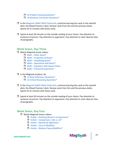- □ 16 Problem Solving Questions<sup>\*</sup>
- □ 16 Sentence Correction [Questions\\*](https://gmat.magoosh.com/practices/start/)
- $\Box$  In the Magoosh GMAT Math [Flashcards,](https://gmat.magoosh.com/flashcards/math/) continue learning the cards in the seventh deck, the Mixed Practice I deck. Review cards from this and the previous decks. Spend 10-15 minutes with these cards.
- $\Box$  Spend at least 30 minutes on the outside reading of your choice. Pay attention to sentence structures. Pay attention to arguments. Pay attention to main ideas & roles of paragraphs.

## **Week Seven, Day Three**

- **U** Watch Magoosh lesson videos:
	- $Math$  Other [Roots\\*](https://gmat.magoosh.com/lessons/223-other-roots/)
	- $\Box$  Math [Properties](https://gmat.magoosh.com/lessons/224-properties-of-roots/) of Roots\*
	- $\Box$  Math [Simplifying](https://gmat.magoosh.com/lessons/225-simplifying-roots/) Roots\*
	- $\Box$  Math [Operations](https://gmat.magoosh.com/lessons/226-operations-with-roots/) with Roots\*
	- $\Box$  Math [Equations](https://gmat.magoosh.com/lessons/245-equations-with-square-roots/) with Square Roots
	- $\Box$  Math Fractional [Exponents\\*](https://gmat.magoosh.com/lessons/32-fractional-exponents/)

#### $\Box$  In the Magoosh product, do:

- 12 Data Sufficiency [Questions\\*](https://gmat.magoosh.com/practices/start/)
- □ 13 Critical Reasoning Questions<sup>\*</sup>
- $\Box$  In the Magoosh GMAT Math [Flashcards,](https://gmat.magoosh.com/flashcards/math/) continue learning the cards in the seventh deck, the Mixed Practice I deck. Review cards from this and the previous decks. Spend 10-15 minutes with these cards.
- $\Box$  Spend at least 30 minutes on the outside reading of your choice. Pay attention to sentence structures. Pay attention to arguments. Pay attention to main ideas & roles of paragraphs.

#### **Week Seven, Day Four**

- □ Watch Magoosh lesson videos:
	- $\Box$  Verbal Omitting Words in [Comparisons\\*](https://gmat.magoosh.com/lessons/626-omitting-words-in-comparisons/)
	- $\Box$  Verbal [Comparisons:](https://gmat.magoosh.com/lessons/627-comparisons-like-vs-as/) Like vs. As\*
	- $\Box$  Verbal Adverbs & [Adjectives\\*](https://gmat.magoosh.com/lessons/1295-adverbs-adjectives/)
	- $\Box$  Verbal Intro to [Modifiers](https://gmat.magoosh.com/lessons/615-intro-to-modifiers/)
	- $\Box$  Verbal Relative Clause [Modifiers\\*](https://gmat.magoosh.com/lessons/616-relative-clause-modifiers/)



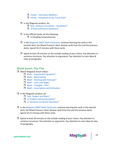- $\Box$  Verbal Vital Noun [Modifiers](https://gmat.magoosh.com/lessons/617-vital-noun-modifiers/)
- $\Box$  Verbal [Exceptions](https://gmat.magoosh.com/lessons/620-exceptions-to-the-touch-rule/) to the Touch Rule\*
- $\Box$  In the Magoosh product, do:
	- $\Box$  Quiz: Sentence Correction [Parallelism\\*](https://gmat.magoosh.com/lesson_groups/136-sentence-correction-parallelism/)
	- □ 16 Data Sufficiency Questions<sup>\*</sup>
- $\Box$  In the Official Guide, do the following:
	- 12 Reading Comprehension
- $\Box$  In the Magoosh GMAT Math [Flashcards,](https://gmat.magoosh.com/flashcards/math/) continue learning the cards in the seventh deck, the Mixed Practice I deck. Review cards from this and the previous decks. Spend 10-15 minutes with these cards.
- $\Box$  Spend at least 30 minutes on the outside reading of your choice. Pay attention to sentence structures. Pay attention to arguments. Pay attention to main ideas & roles of paragraphs.

## **Week Seven, Day Five**

- □ Watch Magoosh lesson videos:
	- $\Box$  Math [Exponential](https://gmat.magoosh.com/lessons/228-exponential-equations/) Equations\*
	- $\Box$  Math [Rationalizing](https://gmat.magoosh.com/lessons/229-rationalizing/)
	- $\Box$  Math Working with [Formulas\\*](https://gmat.magoosh.com/lessons/250-working-with-formulas/)
	- $\Box$  Math Lines and [Angles](https://gmat.magoosh.com/lessons/286-lines-and-angles/)
	- $\Box$  Math [Triangles](https://gmat.magoosh.com/lessons/287-triangles-part-i/) Part I
	- $\Box$  Math [Assumptions](https://gmat.magoosh.com/lessons/661-assumptions-and-estimation/) and Estimation
- $\Box$  In the Magoosh product, do:
	- Quiz: [Powers](https://gmat.magoosh.com/lesson_groups/20-powers-and-roots/) and Roots\*
	- 12 Problem Solving [Questions\\*](https://gmat.magoosh.com/practices/start/)
	- **11 Sentence Correction [Questions\\*](https://gmat.magoosh.com/practices/start/)**
- $\Box$  In the Magoosh GMAT Math [Flashcards,](https://gmat.magoosh.com/flashcards/math/) continue learning the cards in the seventh deck, the Mixed Practice I deck. Review cards from this and the previous decks. Spend 10-15 minutes with these cards.
- $\Box$  Spend at least 30 minutes on the outside reading of your choice. Pay attention to sentence structures. Pay attention to arguments. Pay attention to main ideas & roles of paragraphs.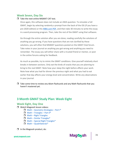# <span id="page-31-0"></span>**Week Seven, Day Six**

#### $\Box$  Take the next online MGMAT CAT test.

Once again, this software does not include an AWA question. To simulate a full GMAT, begin by selecting randomly a prompt from the back of the OG (if you have a pre-2020 edition) or this [MBA.com PDF,](https://www.mba.com/-/media/files/mba2/the-gmat-exam/gmat-exam-format-and-timing/analytical-writing-assessment/analysisofanargument_gmat-exam.pdf) and then take 30 minutes to write the essay in a word processing program. Then, take the rest of the GMAT using that software.

Go through the entire solution after you are done, reading carefully the solutions of anything you go wrong. If you have questions that are not clarified by these solutions, you will often find MGMAT questions posted on the GMAT Club forum. Take notes in your journal on anything you got wrong and anything you need to remember. The essay you will either share with a trusted friend or mentor, or post in the online forums asking for feedback.

As much as possible, try to mimic the GMAT conditions. Give yourself relatively short breaks in between sections. Only eat the kinds of snacks that you are planning to bring to the real GMAT. Note how your sleep the night before affects your work. Note how what you had for dinner the previous night and what you had to eat earlier that day affects your energy level and concentration. Write any observations in your journal.

 $\Box$  Take some time to review any Idiom flashcards and any Math flashcards that you haven't mastered yet.

# **3 Month GMAT Study Plan: Week Eight**

# **Week Eight, Day One**

- □ Watch Magoosh lesson videos:
	- $\Box$  Math [Geometry](https://gmat.magoosh.com/lessons/288-geometry-strategies-part-i/) Strategies Part I\*
	- $\Box$  Math [Triangles](https://gmat.magoosh.com/lessons/289-triangles-part-ii/) Part II\*
	- $\Box$  Math Right [Triangles](https://gmat.magoosh.com/lessons/290-right-triangles/)
	- $\Box$  Math Similar [Triangles\\*](https://gmat.magoosh.com/lessons/292-similar-triangles/)
	- $\Box$  Math Special Right [Triangles\\*](https://gmat.magoosh.com/lessons/291-special-right-triangles/)
	- $\Box$  Math [Quadrilaterals\\*](https://gmat.magoosh.com/lessons/293-quadrilaterals/)
- $\Box$  In the Magoosh product, do:

gmat.magoosh.com

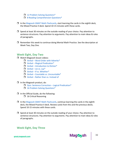- 12 Problem Solving [Questions\\*](https://gmat.magoosh.com/practices/start/)
- □ 8 Reading [Comprehension](https://gmat.magoosh.com/practices/start/) Questions<sup>\*</sup>
- $\Box$  In the Magoosh GMAT Math [Flashcards,](https://gmat.magoosh.com/flashcards/math/) start learning the cards in the eighth deck, the Mixed Practice II deck. Spend 10-15 minutes with these cards.
- $\Box$  Spend at least 30 minutes on the outside reading of your choice. Pay attention to sentence structures. Pay attention to arguments. Pay attention to main ideas & roles of paragraphs.
- $\Box$  Remember this week to continue doing Mental Math Practice. See the description at Week Two, Day One.

## **Week Eight, Day Two**

- **U** Watch Magoosh lesson videos:
	- $\Box$  Verbal Word Order with [Adverbs\\*](https://gmat.magoosh.com/lessons/618-word-order-with-adverbs/)
	- $\Box$  Verbal Illogical [Predication\\*](https://gmat.magoosh.com/lessons/1296-illogical-predication/)
	- $\Box$  Verbal [Introduction](https://gmat.magoosh.com/lessons/1279-introduction-to-diction/) to Diction\*
	- $\Box$  [Verbal](https://gmat.magoosh.com/lessons/634-lie-vs-lay/) Lie vs. Lav\*
	- $\Box$  Verbal If vs. [Whether\\*](https://gmat.magoosh.com/lessons/635-if-vs-whether/)
	- $\Box$  Verbal Countable vs. [Uncountable\\*](https://gmat.magoosh.com/lessons/636-countable-vs-uncountable/)
	- $\Box$  Verbal Rather than vs. [Instead](https://gmat.magoosh.com/lessons/1280-rather-than-vs-instead-of/) of

#### $\Box$  In the Magoosh product, do:

- $\Box$  Quiz: Sentence Correction Logical [Predication\\*](https://gmat.magoosh.com/lesson_groups/137-sentence-correction-logical-predication/)
- 16 Problem Solving [Questions\\*](https://gmat.magoosh.com/practices/start/)
- $\Box$  In the Official Guide, do the following:
	- $\Box$  16 Critical Reasoning
- $\Box$  In the Magoosh GMAT Math [Flashcards,](https://gmat.magoosh.com/flashcards/math/) continue learning the cards in the eighth deck, the Mixed Practice II deck. Review cards from this and the previous decks. Spend 10-15 minutes with these cards.
- $\Box$  Spend at least 30 minutes on the outside reading of your choice. Pay attention to sentence structures. Pay attention to arguments. Pay attention to main ideas & roles of paragraphs.

# **Week Eight, Day Three**

32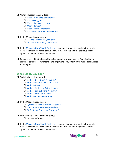- □ Watch Magoosh lesson videos:
	- $\Box$  Math Area of [Quadrilaterals\\*](https://gmat.magoosh.com/lessons/1330-area-of-quadrilaterals/)
	- $\Box$  Math [Polygons\\*](https://gmat.magoosh.com/lessons/294-polygons/)
	- $\Box$  Math Regular [Polygons](https://gmat.magoosh.com/lessons/1331-regular-polygons/)
	- $Math Circles*$  $Math Circles*$
	- $\Box$  Math Circle [Properties\\*](https://gmat.magoosh.com/lessons/297-circle-properties/)
	- $\Box$  Math Circles, Arcs, and [Sectors\\*](https://gmat.magoosh.com/lessons/296-circles-arcs-and-sectors/)
- $\Box$  In the Magoosh product, do:
	- $\Box$  12 Data Sufficiency [Questions\\*](https://gmat.magoosh.com/practices/start/)
	- 13 Critical Reasoning [Questions\\*](https://gmat.magoosh.com/practices/start/)
- $\Box$  In the Magoosh GMAT Math [Flashcards,](https://gmat.magoosh.com/flashcards/math/) continue learning the cards in the eighth deck, the Mixed Practice II deck. Review cards from this and the previous decks. Spend 10-15 minutes with these cards.
- $\Box$  Spend at least 30 minutes on the outside reading of your choice. Pay attention to sentence structures. Pay attention to arguments. Pay attention to main ideas & roles of paragraphs.

# **Week Eight, Day Four**

- □ Watch Magoosh lesson videos:
	- $\Box$  Verbal [Because](https://gmat.magoosh.com/lessons/1281-because-of-vs-due-to/) of vs. Due to\*
	- $\Box$  Verbal [Diction:](https://gmat.magoosh.com/lessons/1288-diction-like-vs-such-as/) Like vs. Such As\*
	- $\Box$  Verbal [Idioms\\*](https://gmat.magoosh.com/lessons/632-idioms/)
	- $\Box$  Verbal Verbs and Active [Language](https://gmat.magoosh.com/lessons/917-verbs-and-active-language/)
	- $\Box$  Verbal [Subject-Verb](https://gmat.magoosh.com/lessons/918-subject-verb-proximity/) Proximity\*
	- $\Box$  Verbal Focus on a [Topic\\*](https://gmat.magoosh.com/lessons/919-focus-on-a-topic/)
	- $\Box$  Verbal Avoid [Redundancy\\*](https://gmat.magoosh.com/lessons/920-avoid-redundancy/)
- $\Box$  In the Magoosh product, do:
	- $\Box$  Quiz: Sentence [Correction](https://gmat.magoosh.com/lesson_groups/138-sentence-correction-diction/) Diction\*
	- $\Box$  Quiz: Sentence [Correction](https://gmat.magoosh.com/lesson_groups/139-sentence-correction-idiom/) Idiom\*
	- □ 16 Sentence Correction Questions<sup>\*</sup>
- $\Box$  In the Official Guide, do the following:
	- $\Box$  16 Data Sufficiency
- $\Box$  In the Magoosh GMAT Math [Flashcards,](https://gmat.magoosh.com/flashcards/math/) continue learning the cards in the eighth deck, the Mixed Practice II deck. Review cards from this and the previous decks. Spend 10-15 minutes with these cards.

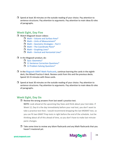$\Box$  Spend at least 30 minutes on the outside reading of your choice. Pay attention to sentence structures. Pay attention to arguments. Pay attention to main ideas & roles of paragraphs.

# **Week Eight, Day Five**

- □ Watch Magoosh lesson videos:
	- $\Box$  Math [Volume](https://gmat.magoosh.com/lessons/298-volume-and-surface-area/) and Surface Area\*
	- $\Box$  Math Units of [Measurement\\*](https://gmat.magoosh.com/lessons/299-units-of-measurement/)
	- $\Box$  Math [Geometry](https://gmat.magoosh.com/lessons/300-geometry-strategies-part-ii/) Strategies Part II
	- $\Box$  Math The [Coordinate](https://gmat.magoosh.com/lessons/256-the-coordinate-plane/) Plane\*
	- $\Box$  Math [Graphing](https://gmat.magoosh.com/lessons/258-graphing-lines/) Lines\*
	- $\Box$  Math Vertical and [Horizontal](https://gmat.magoosh.com/lessons/259-vertical-and-horizontal-lines/) Lines\*

#### $\Box$  In the Magoosh product, do:

- Quiz: [Geometry\\*](https://gmat.magoosh.com/lesson_groups/25-geometry/)
- □ 11 Sentence Correction Questions<sup>\*</sup>
- 12 Problem Solving [Questions\\*](https://gmat.magoosh.com/practices/start/)
- $\Box$  In the Magoosh GMAT Math [Flashcards,](https://gmat.magoosh.com/flashcards/math/) continue learning the cards in the eighth deck, the Mixed Practice II deck. Review cards from this and the previous decks. Spend 10-15 minutes with these cards.
- $\Box$  Spend at least 30 minutes on the outside reading of your choice. Pay attention to sentence structures. Pay attention to arguments. Pay attention to main ideas & roles of paragraphs.

# **Week Eight, Day Six**

#### $\Box$  Review the wrong answers from last week's practice test.

**NOTE:** Look ahead at the upcoming Day Sixes and think about your test date. If Week 12, Day 6 is the day immediately before your real test, you don't want to take a practice test then. I would recommend dropping the last MGMAT test, so you can fit two GMAT Prep tests in right before the end of the schedule. Just be thinking about all of this ahead of time, so you don't have to make last-minutepanic changes.

 $\Box$  Take some time to review any Idiom flashcards and any Math flashcards that you haven't mastered yet.

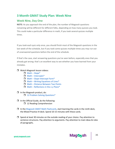# <span id="page-35-0"></span>**3 Month GMAT Study Plan: Week Nine**

# **Week Nine, Day One**

**NOTE:** As you approach the end of the plan, the number of Magoosh questions remaining will be different for different folks, depending on how many quizzes you took. This could make a particular difference in math, if you took several quizzes multiple times.

If you took each quiz only once, you should finish most of the Magoosh questions in the last week of the schedule, but if you took some quizzes multiple times you may run out of unanswered questions before the end of the schedule.

If that's the case, start answering questions you've seen before, especially ones that you already got wrong: that's an excellent way to see whether you have learned from your mistakes.

#### □ Watch Magoosh lesson videos:

- $\Box$  Math [Slope\\*](https://gmat.magoosh.com/lessons/260-slope/)
- $\Box$  Math [Intercepts\\*](https://gmat.magoosh.com/lessons/261-intercepts/)
- $\Box$  Math [Slope-Intercept](https://gmat.magoosh.com/lessons/262-slope-intercept-form/) Form\*
- $\Box$  Math Writing [Equations](https://gmat.magoosh.com/lessons/263-writing-equations-of-lines/) of Lines\*
- $\Box$  Math Distance [Between](https://gmat.magoosh.com/lessons/257-distance-between-two-points/) Two Points
- $\Box$  Math [Reflections](https://gmat.magoosh.com/lessons/1354-reflections-in-the-x-y-plane/) in the x-y Plane\*
- $\Box$  In the Magoosh product, do:
	- 12 Problem Solving [Questions\\*](https://gmat.magoosh.com/practices/start/)
- $\Box$  In the Official Guide, do the following:
	- $\Box$  12 Reading Comprehension
- $\Box$  In the Magoosh GMAT Math [Flashcards,](https://gmat.magoosh.com/flashcards/math/) start learning the cards in the ninth deck, the Mixed Practice III deck. Spend 10-15 minutes with these cards.
- $\Box$  Spend at least 30 minutes on the outside reading of your choice. Pay attention to sentence structures. Pay attention to arguments. Pay attention to main ideas & roles of paragraphs.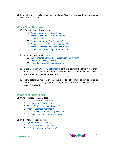$\Box$  Remember this week to continue doing Mental Math Practice. See the description at Week Two, Day One.

# **Week Nine, Day Two**

- □ Watch Magoosh lesson videos:
	- $\Box$  Verbal [Concision](https://gmat.magoosh.com/lessons/633-concision-i-keep-it-short/) I Keep It Short
	- $\Box$  Verbal [Concision](https://gmat.magoosh.com/lessons/1297-concision-ii-not-too-short/) II Not Too Short\*
	- $\Box$  Verbal [Meaning\\*](https://gmat.magoosh.com/lessons/1298-meaning/)
	- $\Box$  Verbal Summary of SC [Strategies\\*](https://gmat.magoosh.com/lessons/638-summary-of-sc-strategies/)
	- $\Box$  Verbal Sentence [Correction](https://gmat.magoosh.com/lessons/2417-sentence-correction-example-1/) Example #1\*
	- $\Box$  Verbal Sentence [Correction](https://gmat.magoosh.com/lessons/2418-sentence-correction-example-2/) Example #2\*
	- $\Box$  Verbal Intro to Reading [Comprehension](https://gmat.magoosh.com/lessons/317-intro-to-reading-comprehension/)
- $\Box$  In the Magoosh product, do:
	- $\Box$  Quiz: Sentence Correction Rhetorical [Construction\\*](https://gmat.magoosh.com/lesson_groups/140-sentence-correction-rhetorical-construction/)
	- **16 Problem Solving [Questions\\*](https://gmat.magoosh.com/practices/start/)**
	- □ 12 Reading [Comprehension](https://gmat.magoosh.com/practices/start/) Questions<sup>\*</sup>
- $\Box$  In the Magoosh GMAT Math [Flashcards,](https://gmat.magoosh.com/flashcards/math/) continue learning the cards in the ninth deck, the Mixed Practice III deck. Review cards from this and the previous decks. Spend 10-15 minutes with these cards.
- $\Box$  Spend at least 30 minutes on the outside reading of your choice. Pay attention to sentence structures. Pay attention to arguments. Pay attention to main ideas & roles of paragraphs.

# **Week Nine, Day Three**

- □ Watch Magoosh lesson videos:
	- $\Box$  Math Graphs of [Quadratics\\*](https://gmat.magoosh.com/lessons/264-graphs-of-quadratics/)
	- $\Box$  Math Mean, [Median,](https://gmat.magoosh.com/lessons/328-mean-median-mode/) Mode\*
	- $\Box$  Math More on Mean and [Median\\*](https://gmat.magoosh.com/lessons/330-more-on-mean-and-median/)
	- $\Box$  Math [Weighted](https://gmat.magoosh.com/lessons/331-weighted-averages-i/) Averages I\*
	- Math Weighted Averages II [\(Advanced\)](https://gmat.magoosh.com/lessons/4141-weighted-averages-ii-advanced/)
	- $\Box$  Math Range and Standard [Deviation\\*](https://gmat.magoosh.com/lessons/332-range-and-standard-deviation/)

#### $\Box$  In the Magoosh product, do:

- Quiz: Coordinate [Geometry\\*](https://gmat.magoosh.com/lesson_groups/24-coordinate-geometry/)
- □ 12 Data Sufficiency Questions<sup>\*</sup>
- □ 13 Critical Reasoning [Questions\\*](https://gmat.magoosh.com/practices/start/)

gmat.magoosh.com

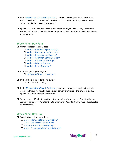- $\Box$  In the Magoosh GMAT Math [Flashcards,](https://gmat.magoosh.com/flashcards/math/) continue learning the cards in the ninth deck, the Mixed Practice III deck. Review cards from this and the previous decks. Spend 10-15 minutes with these cards.
- $\Box$  Spend at least 30 minutes on the outside reading of your choice. Pay attention to sentence structures. Pay attention to arguments. Pay attention to main ideas & roles of paragraphs.

# **Week Nine, Day Four**

- □ Watch Magoosh lesson videos:
	- $\Box$  Verbal [Approaching](https://gmat.magoosh.com/lessons/321-approaching-the-passage/) the Passage
	- $\Box$  Verbal [Understanding](https://gmat.magoosh.com/lessons/1381-understanding-structure/) Structure
	- $\Box$  Verbal [Dissecting](https://gmat.magoosh.com/lessons/323-dissecting-the-passage/) the Passage\*
	- $\Box$  Verbal [Approaching](https://gmat.magoosh.com/lessons/1290-approaching-the-question/) the Question\*
	- $\Box$  Verbal [Answer](https://gmat.magoosh.com/lessons/1382-answer-choice-traps/) Choice Traps\*
	- $\Box$  Verbal Primary [Purpose](https://gmat.magoosh.com/lessons/324-primary-purpose/)
	- $\Box$  Verbal Detail [Questions\\*](https://gmat.magoosh.com/lessons/1291-detail-questions/)
- $\Box$  In the Magoosh product, do:
	- 16 Data Sufficiency [Questions\\*](https://gmat.magoosh.com/practices/start/)
- $\Box$  In the Official Guide, do the following: **16 Critical Reasoning**
- $\Box$  In the Magoosh GMAT Math [Flashcards,](https://gmat.magoosh.com/flashcards/math/) continue learning the cards in the ninth deck, the Mixed Practice III deck. Review cards from this and the previous decks. Spend 10-15 minutes with these cards.
- $\Box$  Spend at least 30 minutes on the outside reading of your choice. Pay attention to sentence structures. Pay attention to arguments. Pay attention to main ideas & roles of paragraphs.

# **Week Nine, Day Five**

- **U** Watch Magoosh lesson videos:
	- $\Box$  Math More on Standard [Deviation\\*](https://gmat.magoosh.com/lessons/333-more-on-standard-deviation/)
	- $\Box$  Math The Normal [Distribution\\*](https://gmat.magoosh.com/lessons/1357-the-normal-distribution/)
	- $\Box$  Math [Introduction](https://gmat.magoosh.com/lessons/334-introduction-to-counting/) to Counting\*
	- $\Box$  Math [Fundamental](https://gmat.magoosh.com/lessons/335-fundamental-counting-principle/) Counting Principle\*

gmat.magoosh.com

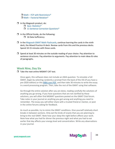$\Box$  Math – FCP with [Restrictions\\*](https://gmat.magoosh.com/lessons/336-fcp-with-restrictions/)  $\Box$  Math – Factorial [Notation\\*](https://gmat.magoosh.com/lessons/338-factorial-notation/)

- $\Box$  In the Magoosh product, do:
	- Quiz: [Statistics\\*](https://gmat.magoosh.com/lesson_groups/21-statistics/)
	- □ 11 Sentence Correction [Questions\\*](https://gmat.magoosh.com/practices/start/)
- $\Box$  In the Official Guide, do the following:
	- $\Box$  16 Data Sufficiency
- $\Box$  In the Magoosh GMAT Math [Flashcards,](https://gmat.magoosh.com/flashcards/math/) continue learning the cards in the ninth deck, the Mixed Practice III deck. Review cards from this and the previous decks. Spend 10-15 minutes with these cards.
- $\Box$  Spend at least 30 minutes on the outside reading of your choice. Pay attention to sentence structures. Pay attention to arguments. Pay attention to main ideas & roles of paragraphs.

## **Week Nine, Day Six**

 $\Box$  Take the next online MGMAT CAT test.

Once again, this software does not include an AWA question. To simulate a full GMAT, begin by selecting randomly a prompt from the back of the OG (if you have a pre-2020 edition) or this [MBA.com PDF](https://www.mba.com/-/media/files/mba2/the-gmat-exam/gmat-exam-format-and-timing/analytical-writing-assessment/analysisofanargument_gmat-exam.pdf), and then take 30 minutes to write the essay in a word processing program. Then, take the rest of the GMAT using that software.

Go through the entire solution after you are done, reading carefully the solutions of anything you go wrong. If you have questions that are not clarified by these solutions, you will often find MGMAT questions posted on the GMAT Club forum. Take notes in your journal on anything you got wrong and anything you need to remember. The essay you will either share with a trusted friend or mentor, or post in the online forums asking for feedback.

As much as possible, try to mimic the GMAT conditions. Give yourself relatively short breaks in between sections. Only eat the kinds of snacks that you are planning to bring to the real GMAT. Note how your sleep the night before affects your work. Note how what you had for dinner the previous night and what you had to eat earlier that day affects your energy level and concentration. Write any observations in your journal.

38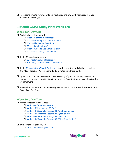<span id="page-39-0"></span> $\Box$  Take some time to review any Idiom flashcards and any Math flashcards that you haven't mastered yet.

# **3 Month GMAT Study Plan: Week Ten**

# **Week Ten, Day One**

- **U** Watch Magoosh lesson videos:
	- $\Box$  Math [Alternative](https://gmat.magoosh.com/lessons/339-counting-what-you-don-t-want/) Methods\*
	- $\Box$  Math [Counting](https://gmat.magoosh.com/lessons/340-counting-with-identical-items/) with Identical Items
	- $\Box$  Math Eliminating [Repetition\\*](https://gmat.magoosh.com/lessons/1359-eliminating-repetition/)
	- $Math$  [Combinations\\*](https://gmat.magoosh.com/lessons/341-combinations/)
	- $\Box$  Math When to Use [Combinations\\*](https://gmat.magoosh.com/lessons/342-when-to-use-combinations/)
	- $\Box$  Math Calculating [Combinations\\*](https://gmat.magoosh.com/lessons/343-calculating-combinations/)

#### $\Box$  In the Magoosh product, do:

- 12 Problem Solving [Questions\\*](https://gmat.magoosh.com/practices/start/)
- □ 8 Reading [Comprehension](https://gmat.magoosh.com/practices/start/) Questions<sup>\*</sup>
- $\Box$  In the Magoosh GMAT Math [Flashcards,](https://gmat.magoosh.com/flashcards/math/) start learning the cards in the tenth deck, the Mixed Practice IV deck. Spend 10-15 minutes with these cards.
- $\Box$  Spend at least 30 minutes on the outside reading of your choice. Pay attention to sentence structures. Pay attention to arguments. Pay attention to main ideas & roles of paragraphs.
- $\Box$  Remember this week to continue doing Mental Math Practice. See the description at Week Two, Day One.

# **Week Ten, Day Two**

- **U** Watch Magoosh lesson videos:
	- □ Verbal Inference [Questions](https://gmat.magoosh.com/lessons/1293-inference-questions/)
	- $\Box$  Verbal [Miscellaneous](https://gmat.magoosh.com/lessons/329-miscellaneous-rc-tips/) RC Tips\*
	- $\Box$  Verbal RC Example, Passage #1 Path [Dependence](https://gmat.magoosh.com/lessons/2419-rc-example-passage-1-path-dependence/)
	- $\Box$  Verbal RC [Example,](https://gmat.magoosh.com/lessons/2420-rc-example-passage-1-question-1/) Passage #1, Question #1\*
	- $\Box$  Verbal RC [Example,](https://gmat.magoosh.com/lessons/2421-rc-example-passage-1-question-2/) Passage #1, Question #2\*
	- $\Box$  Verbal RC Example, Passage #2 Office [Organization\\*](https://gmat.magoosh.com/lessons/2422-rc-example-passage-2-office-organization/)
- $\Box$  In the Magoosh product, do:
	- □ 16 Problem Solving [Questions\\*](https://gmat.magoosh.com/practices/start/)

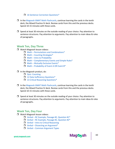#### □ 16 Sentence Correction Questions<sup>\*</sup>

- $\Box$  In the Magoosh GMAT Math [Flashcards,](https://gmat.magoosh.com/flashcards/math/) continue learning the cards in the tenth deck, the Mixed Practice IV deck. Review cards from this and the previous decks. Spend 10-15 minutes with these cards.
- $\Box$  Spend at least 30 minutes on the outside reading of your choice. Pay attention to sentence structures. Pay attention to arguments. Pay attention to main ideas & roles of paragraphs.

# **Week Ten, Day Three**

- □ Watch Magoosh lesson videos:
	- $\Box$  Math Permutations and [Combinations\\*](https://gmat.magoosh.com/lessons/1039-permutations-and-combinations/)
		- $\Box$  Math Counting [Strategies\\*](https://gmat.magoosh.com/lessons/344-counting-strategies/)
		- $\Box$  Math Intro to [Probability](https://gmat.magoosh.com/lessons/1021-intro-to-probability/)
		- $\Box$  Math [Complementary](https://gmat.magoosh.com/lessons/1184-complementary-events-and-simple-rules/) Events and Simple Rules\*
	- $\Box$  Math Mutually [Exclusive](https://gmat.magoosh.com/lessons/1023-mutually-exclusive-events/) Events\*
	- $\Box$  Math [Probability](https://gmat.magoosh.com/lessons/1024-probability-of-event-a-or-event-b/) of Event A OR Event B\*

#### $\Box$  In the Magoosh product, do:

- Quiz: [Counting](https://gmat.magoosh.com/lesson_groups/22-counting/)
- 12 Data Sufficiency [Questions\\*](https://gmat.magoosh.com/practices/start/)
- □ 13 Critical Reasoning Questions<sup>\*</sup>
- $\Box$  In the Magoosh GMAT Math [Flashcards,](https://gmat.magoosh.com/flashcards/math/) continue learning the cards in the tenth deck, the Mixed Practice IV deck. Review cards from this and the previous decks. Spend 10-15 minutes with these cards.
- $\Box$  Spend at least 30 minutes on the outside reading of your choice. Pay attention to sentence structures. Pay attention to arguments. Pay attention to main ideas & roles of paragraphs.

# **Week Ten, Day Four**

- □ Watch Magoosh lesson videos:
	- $\Box$  Verbal RC [Example,](https://gmat.magoosh.com/lessons/2423-rc-example-passage-2-question-1/) Passage #2, Question #1\*
	- $\Box$  Verbal RC [Example,](https://gmat.magoosh.com/lessons/2424-rc-example-passage-2-question-2/) Passage #2, Question #2\*
	- $\Box$  Verbal Intro to Critical [Reasoning](https://gmat.magoosh.com/lessons/1214-intro-to-critical-reasoning/)
	- $\Box$  Verbal Dissecting an [Argument\\*](https://gmat.magoosh.com/lessons/1215-dissecting-an-argument/)
	- $\Box$  Verbal Common [Argument](https://gmat.magoosh.com/lessons/1216-common-argument-types/) Types

gmat.magoosh.com

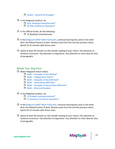- $\Box$  Verbal General CR [Strategy\\*](https://gmat.magoosh.com/lessons/1217-general-cr-strategy/)
- $\Box$  In the Magoosh product, do:
	- Quiz: Reading [Comprehension\\*](https://gmat.magoosh.com/lesson_groups/28-reading-comprehension/)
	- 16 Data Sufficiency [Questions\\*](https://gmat.magoosh.com/practices/start/)
- $\Box$  In the Official Guide, do the following:
	- $\Box$  12 Reading Comprehension
- $\Box$  In the Magoosh GMAT Math [Flashcards,](https://gmat.magoosh.com/flashcards/math/) continue learning the cards in the tenth deck, the Mixed Practice IV deck. Review cards from this and the previous decks. Spend 10-15 minutes with these cards.
- $\Box$  Spend at least 30 minutes on the outside reading of your choice. Pay attention to sentence structures. Pay attention to arguments. Pay attention to main ideas & roles of paragraphs.

#### **Week Ten, Day Five**

- □ Watch Magoosh lesson videos:
	- $\Box$  Math [Examples](https://gmat.magoosh.com/lessons/1183-examples-of-the-or-rule/) of the OR Rule\*
	- $\Box$  Math [Independent](https://gmat.magoosh.com/lessons/1026-independent-events/) Events\*
	- $\Box$  Math [Examples](https://gmat.magoosh.com/lessons/1027-examples-of-the-and-rule/) of the AND Rule\*
	- $\Box$  Math [Generalized](https://gmat.magoosh.com/lessons/1028-generalized-and-rule/) AND Rule\*
	- $\Box$  Math Examples of [Generalized](https://gmat.magoosh.com/lessons/1029-examples-of-generalized-and-rule/) AND Rule\*
	- $\Box$  Math Binomial [Situation](https://gmat.magoosh.com/lessons/1030-binomial-situation/)
- $\Box$  In the Magoosh product, do:
	- 12 Problem Solving [Questions\\*](https://gmat.magoosh.com/practices/start/)
	- □ 11 Sentence Correction Questions<sup>\*</sup>
- $\Box$  In the Magoosh GMAT Math [Flashcards,](https://gmat.magoosh.com/flashcards/math/) continue learning the cards in the tenth deck, the Mixed Practice IV deck. Review cards from this and the previous decks. Spend 10-15 minutes with these cards.
- $\Box$  Spend at least 30 minutes on the outside reading of your choice. Pay attention to sentence structures. Pay attention to arguments. Pay attention to main ideas & roles of paragraphs.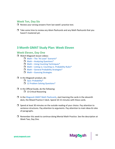# <span id="page-42-0"></span>**Week Ten, Day Six**

- $\Box$  Review your wrong answers from last week's practice test.
- $\Box$  Take some time to review any Idiom flashcards and any Math flashcards that you haven't mastered yet.

# **3 Month GMAT Study Plan: Week Eleven**

# **Week Eleven, Day One**

- □ Watch Magoosh lesson videos:
	- $\Box$  Math The "At Least" [Scenario\\*](https://gmat.magoosh.com/lessons/1031-the-at-least-scenario/)
	- $\Box$  Math Analyzing [Questions\\*](https://gmat.magoosh.com/lessons/1037-analyzing-questions/)
	- $\Box$  Math Using Counting [Techniques\\*](https://gmat.magoosh.com/lessons/1032-using-counting-techniques/)
	- $\Box$  Math Listing vs. Counting vs. [Probability](https://gmat.magoosh.com/lessons/1033-listing-vs-counting-vs-probability-rules/) Rules\*
	- $\Box$  Math General Probability [Strategies\\*](https://gmat.magoosh.com/lessons/1034-general-probability-strategies/)
	- $\Box$  Math Guessing [Strategies](https://gmat.magoosh.com/lessons/1035-guessing-strategies/)

#### $\Box$  In the Magoosh product, do:

- Quiz: [Probability\\*](https://gmat.magoosh.com/lesson_groups/27-probability/)
- 12 Problem Solving [Questions\\*](https://gmat.magoosh.com/practices/start/)
- $\Box$  In the Official Guide, do the following:
	- $\Box$  13 Critical Reasoning
- $\Box$  In the Magoosh GMAT Math [Flashcards,](https://gmat.magoosh.com/flashcards/math/) start learning the cards in the eleventh deck, the Mixed Practice V deck. Spend 10-15 minutes with these cards.
- $\Box$  Spend at least 30 minutes on the outside reading of your choice. Pay attention to sentence structures. Pay attention to arguments. Pay attention to main ideas & roles of paragraphs.
- $\Box$  Remember this week to continue doing Mental Math Practice. See the description at Week Two, Day One.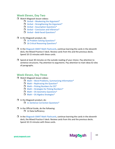# **Week Eleven, Day Two**

- Watch Magoosh lesson videos:
	- $\Box$  Verbal Weakening the [Argument\\*](https://gmat.magoosh.com/lessons/1218-weakening-the-argument/)
	- $\Box$  Verbal [Strengthening](https://gmat.magoosh.com/lessons/1219-strengthening-the-argument/) the Argument\*
	- $\Box$  Verbal [Assumption](https://gmat.magoosh.com/lessons/1220-assumption-questions/) Questions\*
	- $\Box$  Verbal [Conclusion](https://gmat.magoosh.com/lessons/1221-conclusion-and-inference/) and Inference\*
	- $\Box$  Verbal Bold-faced [Questions\\*](https://gmat.magoosh.com/lessons/1222-bold-faced-questions/)
- $\Box$  In the Magoosh product, do:
	- **16 Problem Solving [Questions\\*](https://gmat.magoosh.com/practices/start/)**
	- 16 Critical Reasoning [Questions\\*](https://gmat.magoosh.com/practices/start/)
- $\Box$  In the Magoosh GMAT Math [Flashcards,](https://gmat.magoosh.com/flashcards/math/) continue learning the cards in the eleventh deck, the Mixed Practice V deck. Review cards from this and the previous decks. Spend 10-15 minutes with these cards.
- $\Box$  Spend at least 30 minutes on the outside reading of your choice. Pay attention to sentence structures. Pay attention to arguments. Pay attention to main ideas & roles of paragraphs.

# **Week Eleven, Day Three**

- □ Watch Magoosh lesson videos:
	- $\Box$  Math Word Problems, Summarizing [Information\\*](https://gmat.magoosh.com/lessons/365-word-problems-summarizing-information/)
	- $\Box$  Math [Rephrasing](https://gmat.magoosh.com/lessons/366-rephrasing-the-question/) the Question\*
	- $\Box$  Math Picking [Numbers](https://gmat.magoosh.com/lessons/367-picking-numbers-for-ds/) for DS\*
	- $\Box$  Math Strategies for Picking [Numbers\\*](https://gmat.magoosh.com/lessons/368-strategies-for-picking-numbers/)
	- $\Box$  Math DS Geometry [Questions\\*](https://gmat.magoosh.com/lessons/369-ds-geometry-questions/)
	- $\Box$  Math DS Algebra [Strategies\\*](https://gmat.magoosh.com/lessons/371-ds-algebra-strategies/)
- $\Box$  In the Magoosh product, do:
	- □ 11 Sentence Correction Questions<sup>\*</sup>
- $\Box$  In the Official Guide, do the following:  $\Box$  12 Data Sufficiency
- $\Box$  In the Magoosh GMAT Math [Flashcards,](https://gmat.magoosh.com/flashcards/math/) continue learning the cards in the eleventh deck, the Mixed Practice V deck. Review cards from this and the previous decks. Spend 10-15 minutes with these cards.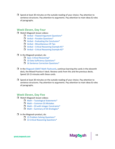$\Box$  Spend at least 30 minutes on the outside reading of your choice. Pay attention to sentence structures. Pay attention to arguments. Pay attention to main ideas & roles of paragraphs.

# **Week Eleven, Day Four**

- □ Watch Magoosh lesson videos:
	- $\Box$  Verbal Flawed Argument [Questions\\*](https://gmat.magoosh.com/lessons/1223-flawed-argument-questions/)
	- $\Box$  Verbal Paradox [Questions\\*](https://gmat.magoosh.com/lessons/1224-paradox-questions/)
	- $\Box$  Verbal Evaluating the [Conclusion\\*](https://gmat.magoosh.com/lessons/1225-evaluating-the-conclusion/)
	- $\Box$  Verbal [Miscellaneous](https://gmat.magoosh.com/lessons/1226-miscellaneous-cr-tips/) CR Tips
	- $\Box$  Verbal Critical [Reasoning](https://gmat.magoosh.com/lessons/2425-critical-reasoning-example-1/) Example #1\*
	- $\Box$  Verbal Critical [Reasoning](https://gmat.magoosh.com/lessons/2426-critical-reasoning-example-2/) Example #2\*

#### $\Box$  In the Magoosh product, do:

- Quiz: Critical [Reasoning\\*](https://gmat.magoosh.com/lesson_groups/31-critical-reasoning/)
- 10 Data Sufficiency [Questions\\*](https://gmat.magoosh.com/practices/start/)
- □ 16 Sentence Correction Questions<sup>\*</sup>
- $\Box$  In the Magoosh GMAT Math [Flashcards,](https://gmat.magoosh.com/flashcards/math/) continue learning the cards in the eleventh deck, the Mixed Practice V deck. Review cards from this and the previous decks. Spend 10-15 minutes with these cards.
- $\Box$  Spend at least 30 minutes on the outside reading of your choice. Pay attention to sentence structures. Pay attention to arguments. Pay attention to main ideas & roles of paragraphs.

44

Mago<sub>o</sub>sh

# **Week Eleven, Day Five**

- □ Watch Magoosh lesson videos:
	- $\Box$  Math Tautological [Statements\\*](https://gmat.magoosh.com/lessons/376-tautological-statements/)
	- $\Box$  Math [Common](https://gmat.magoosh.com/lessons/370-common-ds-mistakes/) DS Mistakes
	- $\Box$  Math DS with Integer [Constraints\\*](https://gmat.magoosh.com/lessons/372-ds-with-integer-constraints/)
	- $\Box$  Math Summary of DS [Strategies\\*](https://gmat.magoosh.com/lessons/375-summary-of-ds-strategies/)

#### $\Box$  In the Magoosh product, do:

- $\Box$  15 Problem Solving [Questions\\*](https://gmat.magoosh.com/practices/start/)
- □ 13 Critical Reasoning [Questions\\*](https://gmat.magoosh.com/practices/start/)

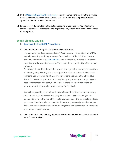- $\Box$  In the Magoosh GMAT Math [Flashcards,](https://gmat.magoosh.com/flashcards/math/) continue learning the cards in the eleventh deck, the Mixed Practice V deck. Review cards from this and the previous decks. Spend 10-15 minutes with these cards.
- $\Box$  Spend at least 30 minutes on the outside reading of your choice. Pay attention to sentence structures. Pay attention to arguments. Pay attention to main ideas & roles of paragraphs.

## **Week Eleven, Day Six**

D [Download](http://www.mba.com/the-gmat/download-free-test-preparation-software.aspx) the free GMAT Prep software.

#### $\Box$  Take the first full-length GMAT on the GMAC software.

This software also does not include an AWA question. To simulate a full GMAT, begin by selecting randomly a prompt from the back of the OG (if you have a pre-2020 edition) or this [MBA.com PDF](https://www.mba.com/-/media/files/mba2/the-gmat-exam/gmat-exam-format-and-timing/analytical-writing-assessment/analysisofanargument_gmat-exam.pdf), and then take 30 minutes to write the essay in a word processing program. Then, take the rest of the GMAT using that software.

Go through the entire solution after you are done, reading carefully the solutions of anything you go wrong. If you have questions that are not clarified by these solutions, you will often find GMAT Prep questions posted on the GMAT Club forum. Take notes in your journal on anything you got wrong and anything you need to remember. The essay you will either share with a trusted friend or mentor, or post in the online forums asking for feedback.

As much as possible, try to mimic the GMAT conditions. Give yourself relatively short breaks in between sections. Only eat the kinds of snacks that you are planning to bring to the real GMAT. Note how your sleep the night before affects your work. Note how what you had for dinner the previous night and what you had to eat earlier that day affects your energy level and concentration. Write any observations in your journal.

 $\Box$  Take some time to review any Idiom flashcards and any Math flashcards that you haven't mastered yet.

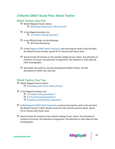# <span id="page-46-0"></span>**3 Month GMAT Study Plan: Week Twelve**

# **Week Twelve, Day One**

- □ Watch Magoosh lesson videos: **[Remaining](https://gmat.magoosh.com/lessons/) verbal lesson videos (if any)\***
- $\Box$  In the Magoosh product, do: 12 Problem Solving [Questions\\*](https://gmat.magoosh.com/practices/start/)
- $\Box$  In the Official Guide, do the following:
	- $\Box$  10 Critical Reasoning
- $\Box$  In the Magoosh GMAT Math [Flashcards,](https://gmat.magoosh.com/flashcards/math/) start learning the cards in the last deck, the Mixed Practice VI deck. Spend 10-15 minutes with these cards.
- $\Box$  Spend at least 30 minutes on the outside reading of your choice. Pay attention to sentence structures. Pay attention to arguments. Pay attention to main ideas & roles of paragraphs.
- $\Box$  Remember this week to continue doing Mental Math Practice. See the description at Week Two, Day One.

# **Week Twelve, Day Two**

- **U** Watch Magoosh lesson videos:
	- $\Box$  [Remaining](https://gmat.magoosh.com/lessons/) math lesson videos (if any)\*
- $\Box$  In the Magoosh product, do:
	- **16 Problem Solving [Questions\\*](https://gmat.magoosh.com/practices/start/)**
	- **d** 6 Critical Reasoning [Questions\\*](https://gmat.magoosh.com/practices/start/)
	- □ 8 Reading [Comprehension](https://gmat.magoosh.com/practices/start/) Questions<sup>\*</sup>
- $\Box$  In the Magoosh GMAT Math [Flashcards,](https://gmat.magoosh.com/flashcards/math/) continue learning the cards in the last deck, the Mixed Practice VI deck. Review cards from this and the previous decks. Spend 10-15 minutes with these cards.
- $\Box$  Spend at least 30 minutes on the outside reading of your choice. Pay attention to sentence structures. Pay attention to arguments. Pay attention to main ideas & roles of paragraphs.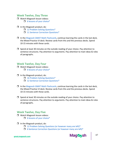# **Week Twelve, Day Three**

- □ Watch Magoosh lesson videos:
	- $\Box$  6 lessons of your [choice\\*](https://gmat.magoosh.com/lessons/)
- $\Box$  In the Magoosh product, do:
	- 12 Problem Solving [Questions\\*](https://gmat.magoosh.com/practices/start/)
	- 11 Sentence Correction [Questions\\*](https://gmat.magoosh.com/practices/start/)
- $\Box$  In the Magoosh GMAT Math [Flashcards,](https://gmat.magoosh.com/flashcards/math/) continue learning the cards in the last deck, the Mixed Practice VI deck. Review cards from this and the previous decks. Spend 10-15 minutes with these cards.
- $\Box$  Spend at least 30 minutes on the outside reading of your choice. Pay attention to sentence structures. Pay attention to arguments. Pay attention to main ideas & roles of paragraphs.

# **Week Twelve, Day Four**

- □ Watch Magoosh lesson videos:
	- $\Box$  6 lessons of your [choice\\*](https://gmat.magoosh.com/lessons/)
- $\Box$  In the Magoosh product, do:
	- □ 16 Problem Solving [Questions\\*](https://gmat.magoosh.com/practices/start/)
	- □ 12 Sentence Correction [Questions\\*](https://gmat.magoosh.com/practices/start/)
- $\Box$  In the Magoosh GMAT Math [Flashcards,](https://gmat.magoosh.com/flashcards/math/) continue learning the cards in the last deck, the Mixed Practice VI deck. Review cards from this and the previous decks. Spend 10-15 minutes with these cards.
- $\Box$  Spend at least 30 minutes on the outside reading of your choice. Pay attention to sentence structures. Pay attention to arguments. Pay attention to main ideas & roles of paragraphs.

# **Week Twelve, Day Five**

- □ Watch Magoosh lesson videos:
	- $\Box$  6 lessons of your [choice\\*](https://gmat.magoosh.com/lessons/)
- $\Box$  In the Magoosh product, do:
	- $\Box$  12 Problem Solving [Questions](https://gmat.magoosh.com/practices/start/) (or however many are left)\*
	- $\Box$  6 Sentence [Correction](https://gmat.magoosh.com/practices/start/) Questions (or however many are left)\*



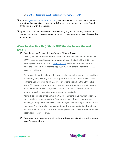#### $\Box$  6 Critical [Reasoning](https://gmat.magoosh.com/practices/start/) Questions (or however many are left)\*

- $\Box$  In the Magoosh GMAT Math [Flashcards,](https://gmat.magoosh.com/flashcards/math/) continue learning the cards in the last deck, the Mixed Practice VI deck. Review cards from this and the previous decks. Spend 10-15 minutes with these cards.
- $\Box$  Spend at least 30 minutes on the outside reading of your choice. Pay attention to sentence structures. Pay attention to arguments. Pay attention to main ideas & roles of paragraphs.

# **Week Twelve, Day Six (if this is NOT the day before the real GMAT):**

#### $\Box$  Take the second full-length GMAT on the GMAC software.

Once again, this software does not include an AWA question. To simulate a full GMAT, begin by selecting randomly a prompt from the back of the OG (if you have a pre-2020 edition) or thi[s MBA.com PDF](https://www.mba.com/-/media/files/mba2/the-gmat-exam/gmat-exam-format-and-timing/analytical-writing-assessment/analysisofanargument_gmat-exam.pdf), and then take 30 minutes to write the essay in a word processing program. Then, take the rest of the GMAT using that software.

Go through the entire solution after you are done, reading carefully the solutions of anything you go wrong. If you have questions that are not clarified by these solutions, you will often find GMAT Prep questions posted on the GMAT Club forum. Take notes in your journal on anything you got wrong and anything you need to remember. The essay you will either share with a trusted friend or mentor, or post in the online forums asking for feedback.

As much as possible, try to mimic the GMAT conditions. Give yourself relatively short breaks in between sections. Only eat the kinds of snacks that you are planning to bring to the real GMAT. Note how your sleep the night before affects your work. Note how what you had for dinner the previous night and what you had to eat earlier that day affects your energy level and concentration. Write any observations in your journal.

 $\Box$  Take some time to review any Idiom flashcards and any Math flashcards that you haven't mastered yet.

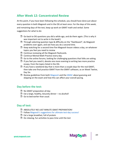# <span id="page-49-0"></span>**After Week 12: Concentrated Review**

At this point, if you have been following the schedule, you should have done just about every question in both Magoosh and in the OG at least once. For the days of this week, and remaining days of the test, keep up work on GMAT math and verbal. Some suggestions for what to do:

- $\Box$  Go back to OG questions you did a while ago, and do them again. (This is why it was important not to write in the book!)
- $\Box$  Through selecting question type & difficulty on the "Dashboard", do Magoosh problems over again, and see how you do a second time.
- $\Box$  Keep watching for a second time five Magoosh lesson videos a day, on whatever topics you feel you need to review
- $\Box$  Continue reviewing all the Magoosh flashcards.
- $\Box$  Continue Mental Math Practice every day.
- $\Box$  Go to the online forums, looking for challenging questions that folks are asking.
- $\Box$  If you feel you need it, devote one more evening to writing two more practice essays, from the topics listed in the OG.
- $\Box$  If you have a weekend day that is more than a couple days for the real GMAT, then take one final practice GMAT from the GMAT software, as on Week Twelve, Day Six.
- $\Box$  Review guidelines from both [Magoosh](https://gmat.magoosh.com/lessons/1061-pacing-skipping-and-guessing/) and the [GMAC](https://www.gmac.com/-/media/files/gmac/research/research-report-series/rr0904_guesswhat.pdf) about guessing and skipping on the exam and how this can affect your overall pacing.

# **Day before the test:**

- $\Box$  No GMAT preparation all day
- $\Box$  Eat a large, healthy, leisurely dinner no alcohol!
- $\Box$  Go to bed earlier than usual.

# **Day of test:**

- **B** ABSOLUTELY NO LAST MINUTE GMAT PREPARATION!
- $\Box$  Follow Magoosh's [suggestions](https://gmat.magoosh.com/lessons/1064-test-day) for ultimate test-day success!
- $\Box$  Eat a large breakfast, full of protein
- $\Box$  Do relaxing, fun activities to pass time until the test